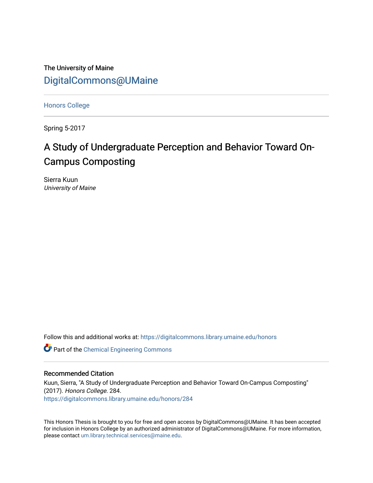The University of Maine [DigitalCommons@UMaine](https://digitalcommons.library.umaine.edu/)

[Honors College](https://digitalcommons.library.umaine.edu/honors)

Spring 5-2017

# A Study of Undergraduate Perception and Behavior Toward On-Campus Composting

Sierra Kuun University of Maine

Follow this and additional works at: [https://digitalcommons.library.umaine.edu/honors](https://digitalcommons.library.umaine.edu/honors?utm_source=digitalcommons.library.umaine.edu%2Fhonors%2F284&utm_medium=PDF&utm_campaign=PDFCoverPages) 

Part of the [Chemical Engineering Commons](http://network.bepress.com/hgg/discipline/240?utm_source=digitalcommons.library.umaine.edu%2Fhonors%2F284&utm_medium=PDF&utm_campaign=PDFCoverPages)

#### Recommended Citation

Kuun, Sierra, "A Study of Undergraduate Perception and Behavior Toward On-Campus Composting" (2017). Honors College. 284. [https://digitalcommons.library.umaine.edu/honors/284](https://digitalcommons.library.umaine.edu/honors/284?utm_source=digitalcommons.library.umaine.edu%2Fhonors%2F284&utm_medium=PDF&utm_campaign=PDFCoverPages) 

This Honors Thesis is brought to you for free and open access by DigitalCommons@UMaine. It has been accepted for inclusion in Honors College by an authorized administrator of DigitalCommons@UMaine. For more information, please contact [um.library.technical.services@maine.edu.](mailto:um.library.technical.services@maine.edu)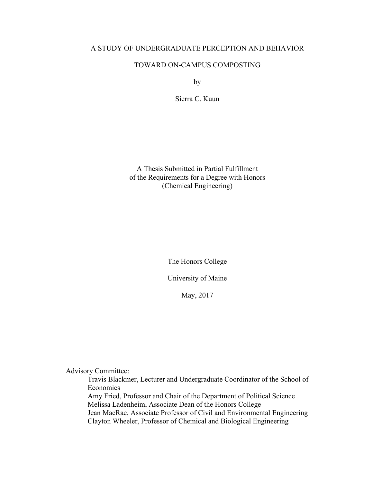### A STUDY OF UNDERGRADUATE PERCEPTION AND BEHAVIOR

### TOWARD ON-CAMPUS COMPOSTING

by

Sierra C. Kuun

A Thesis Submitted in Partial Fulfillment of the Requirements for a Degree with Honors (Chemical Engineering)

The Honors College

University of Maine

May, 2017

Advisory Committee:

Travis Blackmer, Lecturer and Undergraduate Coordinator of the School of Economics Amy Fried, Professor and Chair of the Department of Political Science Melissa Ladenheim, Associate Dean of the Honors College Jean MacRae, Associate Professor of Civil and Environmental Engineering

Clayton Wheeler, Professor of Chemical and Biological Engineering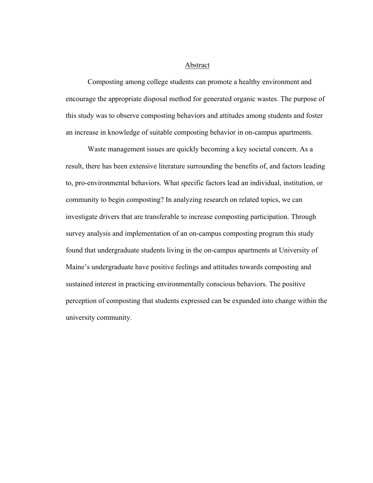#### Abstract

Composting among college students can promote a healthy environment and encourage the appropriate disposal method for generated organic wastes. The purpose of this study was to observe composting behaviors and attitudes among students and foster an increase in knowledge of suitable composting behavior in on-campus apartments.

Waste management issues are quickly becoming a key societal concern. As a result, there has been extensive literature surrounding the benefits of, and factors leading to, pro-environmental behaviors. What specific factors lead an individual, institution, or community to begin composting? In analyzing research on related topics, we can investigate drivers that are transferable to increase composting participation. Through survey analysis and implementation of an on-campus composting program this study found that undergraduate students living in the on-campus apartments at University of Maine's undergraduate have positive feelings and attitudes towards composting and sustained interest in practicing environmentally conscious behaviors. The positive perception of composting that students expressed can be expanded into change within the university community.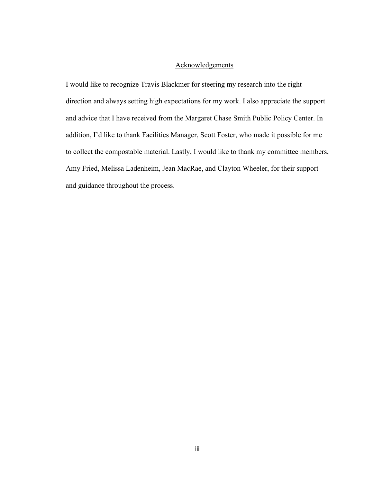#### Acknowledgements

I would like to recognize Travis Blackmer for steering my research into the right direction and always setting high expectations for my work. I also appreciate the support and advice that I have received from the Margaret Chase Smith Public Policy Center. In addition, I'd like to thank Facilities Manager, Scott Foster, who made it possible for me to collect the compostable material. Lastly, I would like to thank my committee members, Amy Fried, Melissa Ladenheim, Jean MacRae, and Clayton Wheeler, for their support and guidance throughout the process.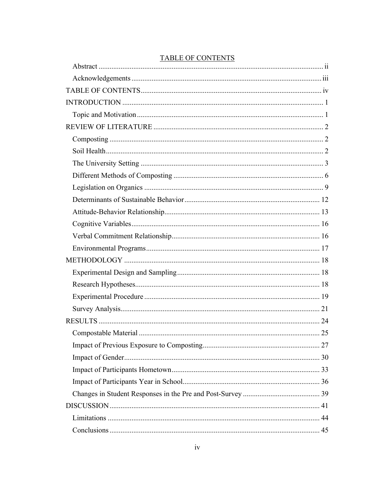| <b>TADLE OF CONTENTS</b> |  |
|--------------------------|--|
|                          |  |
|                          |  |
|                          |  |
|                          |  |
|                          |  |
|                          |  |
|                          |  |
|                          |  |
|                          |  |
|                          |  |
|                          |  |
|                          |  |
|                          |  |
|                          |  |
|                          |  |
|                          |  |
|                          |  |
|                          |  |
|                          |  |
|                          |  |
|                          |  |
|                          |  |
|                          |  |
|                          |  |
|                          |  |
|                          |  |
|                          |  |
|                          |  |
|                          |  |
|                          |  |

### TABLE OF CONTENTS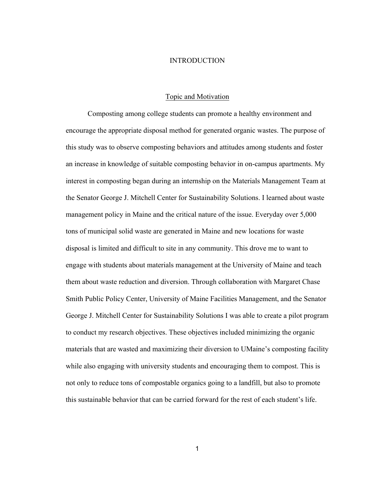#### INTRODUCTION

#### Topic and Motivation

Composting among college students can promote a healthy environment and encourage the appropriate disposal method for generated organic wastes. The purpose of this study was to observe composting behaviors and attitudes among students and foster an increase in knowledge of suitable composting behavior in on-campus apartments. My interest in composting began during an internship on the Materials Management Team at the Senator George J. Mitchell Center for Sustainability Solutions. I learned about waste management policy in Maine and the critical nature of the issue. Everyday over 5,000 tons of municipal solid waste are generated in Maine and new locations for waste disposal is limited and difficult to site in any community. This drove me to want to engage with students about materials management at the University of Maine and teach them about waste reduction and diversion. Through collaboration with Margaret Chase Smith Public Policy Center, University of Maine Facilities Management, and the Senator George J. Mitchell Center for Sustainability Solutions I was able to create a pilot program to conduct my research objectives. These objectives included minimizing the organic materials that are wasted and maximizing their diversion to UMaine's composting facility while also engaging with university students and encouraging them to compost. This is not only to reduce tons of compostable organics going to a landfill, but also to promote this sustainable behavior that can be carried forward for the rest of each student's life.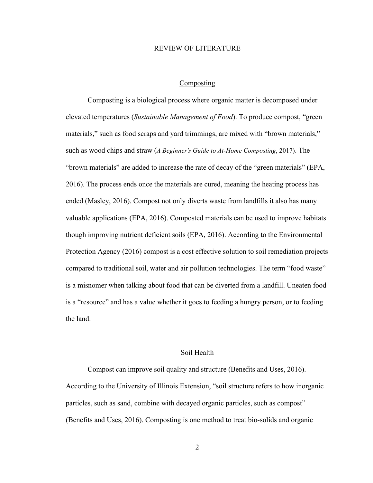#### REVIEW OF LITERATURE

#### Composting

Composting is a biological process where organic matter is decomposed under elevated temperatures (*Sustainable Management of Food*). To produce compost, "green materials," such as food scraps and yard trimmings, are mixed with "brown materials," such as wood chips and straw (*A Beginner's Guide to At-Home Composting*, 2017). The "brown materials" are added to increase the rate of decay of the "green materials" (EPA, 2016). The process ends once the materials are cured, meaning the heating process has ended (Masley, 2016). Compost not only diverts waste from landfills it also has many valuable applications (EPA, 2016). Composted materials can be used to improve habitats though improving nutrient deficient soils (EPA, 2016). According to the Environmental Protection Agency (2016) compost is a cost effective solution to soil remediation projects compared to traditional soil, water and air pollution technologies. The term "food waste" is a misnomer when talking about food that can be diverted from a landfill. Uneaten food is a "resource" and has a value whether it goes to feeding a hungry person, or to feeding the land.

#### Soil Health

Compost can improve soil quality and structure (Benefits and Uses, 2016). According to the University of Illinois Extension, "soil structure refers to how inorganic particles, such as sand, combine with decayed organic particles, such as compost" (Benefits and Uses, 2016). Composting is one method to treat bio-solids and organic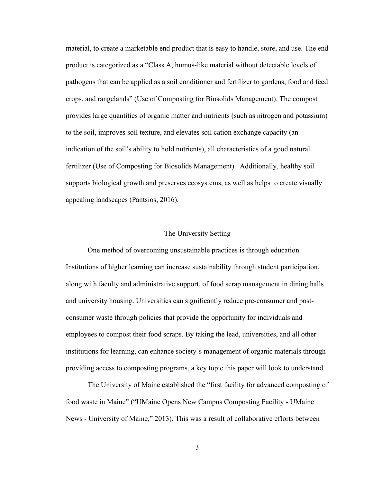material, to create a marketable end product that is easy to handle, store, and use. The end product is categorized as a "Class A, humus-like material without detectable levels of pathogens that can be applied as a soil conditioner and fertilizer to gardens, food and feed crops, and rangelands" (Use of Composting for Biosolids Management). The compost provides large quantities of organic matter and nutrients (such as nitrogen and potassium) to the soil, improves soil texture, and elevates soil cation exchange capacity (an indication of the soil's ability to hold nutrients), all characteristics of a good natural fertilizer (Use of Composting for Biosolids Management). Additionally, healthy soil supports biological growth and preserves ecosystems, as well as helps to create visually appealing landscapes (Pantsios, 2016).

#### The University Setting

One method of overcoming unsustainable practices is through education. Institutions of higher learning can increase sustainability through student participation, along with faculty and administrative support, of food scrap management in dining halls and university housing. Universities can significantly reduce pre-consumer and postconsumer waste through policies that provide the opportunity for individuals and employees to compost their food scraps. By taking the lead, universities, and all other institutions for learning, can enhance society's management of organic materials through providing access to composting programs, a key topic this paper will look to understand.

The University of Maine established the "first facility for advanced composting of food waste in Maine" ("UMaine Opens New Campus Composting Facility - UMaine News - University of Maine," 2013). This was a result of collaborative efforts between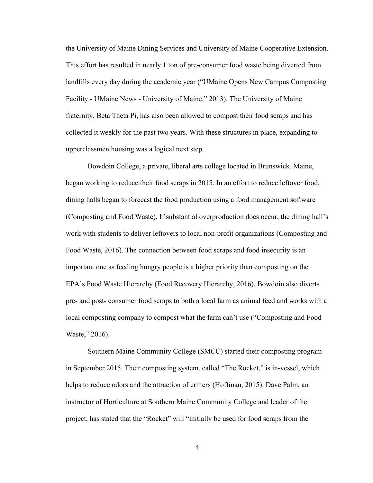the University of Maine Dining Services and University of Maine Cooperative Extension. This effort has resulted in nearly 1 ton of pre-consumer food waste being diverted from landfills every day during the academic year ("UMaine Opens New Campus Composting Facility - UMaine News - University of Maine," 2013). The University of Maine fraternity, Beta Theta Pi, has also been allowed to compost their food scraps and has collected it weekly for the past two years. With these structures in place, expanding to upperclassmen housing was a logical next step.

Bowdoin College, a private, liberal arts college located in Brunswick, Maine, began working to reduce their food scraps in 2015. In an effort to reduce leftover food, dining halls began to forecast the food production using a food management software (Composting and Food Waste). If substantial overproduction does occur, the dining hall's work with students to deliver leftovers to local non-profit organizations (Composting and Food Waste, 2016). The connection between food scraps and food insecurity is an important one as feeding hungry people is a higher priority than composting on the EPA's Food Waste Hierarchy (Food Recovery Hierarchy, 2016). Bowdoin also diverts pre- and post- consumer food scraps to both a local farm as animal feed and works with a local composting company to compost what the farm can't use ("Composting and Food Waste," 2016).

Southern Maine Community College (SMCC) started their composting program in September 2015. Their composting system, called "The Rocket," is in-vessel, which helps to reduce odors and the attraction of critters (Hoffman, 2015). Dave Palm, an instructor of Horticulture at Southern Maine Community College and leader of the project, has stated that the "Rocket" will "initially be used for food scraps from the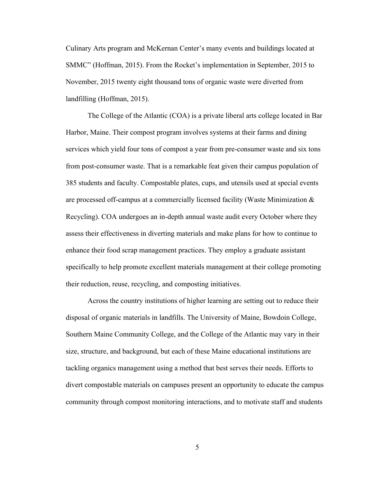Culinary Arts program and McKernan Center's many events and buildings located at SMMC" (Hoffman, 2015). From the Rocket's implementation in September, 2015 to November, 2015 twenty eight thousand tons of organic waste were diverted from landfilling (Hoffman, 2015).

The College of the Atlantic (COA) is a private liberal arts college located in Bar Harbor, Maine. Their compost program involves systems at their farms and dining services which yield four tons of compost a year from pre-consumer waste and six tons from post-consumer waste. That is a remarkable feat given their campus population of 385 students and faculty. Compostable plates, cups, and utensils used at special events are processed off-campus at a commercially licensed facility (Waste Minimization & Recycling). COA undergoes an in-depth annual waste audit every October where they assess their effectiveness in diverting materials and make plans for how to continue to enhance their food scrap management practices. They employ a graduate assistant specifically to help promote excellent materials management at their college promoting their reduction, reuse, recycling, and composting initiatives.

Across the country institutions of higher learning are setting out to reduce their disposal of organic materials in landfills. The University of Maine, Bowdoin College, Southern Maine Community College, and the College of the Atlantic may vary in their size, structure, and background, but each of these Maine educational institutions are tackling organics management using a method that best serves their needs. Efforts to divert compostable materials on campuses present an opportunity to educate the campus community through compost monitoring interactions, and to motivate staff and students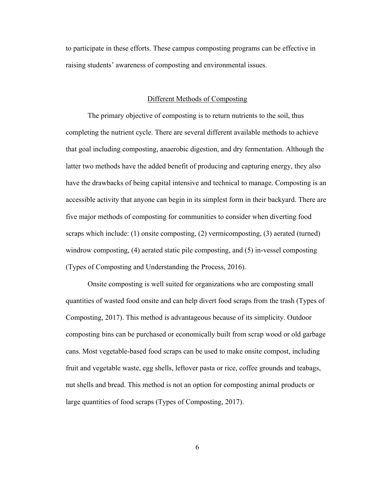to participate in these efforts. These campus composting programs can be effective in raising students' awareness of composting and environmental issues.

#### Different Methods of Composting

The primary objective of composting is to return nutrients to the soil, thus completing the nutrient cycle. There are several different available methods to achieve that goal including composting, anaerobic digestion, and dry fermentation. Although the latter two methods have the added benefit of producing and capturing energy, they also have the drawbacks of being capital intensive and technical to manage. Composting is an accessible activity that anyone can begin in its simplest form in their backyard. There are five major methods of composting for communities to consider when diverting food scraps which include: (1) onsite composting, (2) vermicomposting, (3) aerated (turned) windrow composting, (4) aerated static pile composting, and (5) in-vessel composting (Types of Composting and Understanding the Process, 2016).

Onsite composting is well suited for organizations who are composting small quantities of wasted food onsite and can help divert food scraps from the trash (Types of Composting, 2017). This method is advantageous because of its simplicity. Outdoor composting bins can be purchased or economically built from scrap wood or old garbage cans. Most vegetable-based food scraps can be used to make onsite compost, including fruit and vegetable waste, egg shells, leftover pasta or rice, coffee grounds and teabags, nut shells and bread. This method is not an option for composting animal products or large quantities of food scraps (Types of Composting, 2017).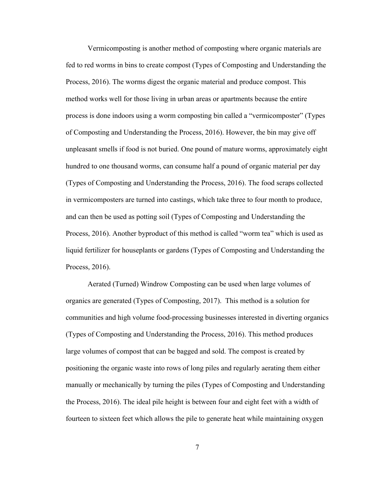Vermicomposting is another method of composting where organic materials are fed to red worms in bins to create compost (Types of Composting and Understanding the Process, 2016). The worms digest the organic material and produce compost. This method works well for those living in urban areas or apartments because the entire process is done indoors using a worm composting bin called a "vermicomposter" (Types of Composting and Understanding the Process, 2016). However, the bin may give off unpleasant smells if food is not buried. One pound of mature worms, approximately eight hundred to one thousand worms, can consume half a pound of organic material per day (Types of Composting and Understanding the Process, 2016). The food scraps collected in vermicomposters are turned into castings, which take three to four month to produce, and can then be used as potting soil (Types of Composting and Understanding the Process, 2016). Another byproduct of this method is called "worm tea" which is used as liquid fertilizer for houseplants or gardens (Types of Composting and Understanding the Process, 2016).

Aerated (Turned) Windrow Composting can be used when large volumes of organics are generated (Types of Composting, 2017). This method is a solution for communities and high volume food-processing businesses interested in diverting organics (Types of Composting and Understanding the Process, 2016). This method produces large volumes of compost that can be bagged and sold. The compost is created by positioning the organic waste into rows of long piles and regularly aerating them either manually or mechanically by turning the piles (Types of Composting and Understanding the Process, 2016). The ideal pile height is between four and eight feet with a width of fourteen to sixteen feet which allows the pile to generate heat while maintaining oxygen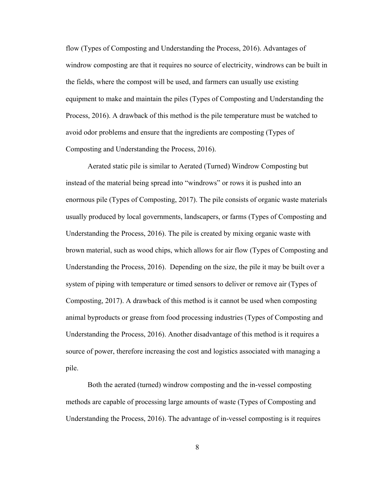flow (Types of Composting and Understanding the Process, 2016). Advantages of windrow composting are that it requires no source of electricity, windrows can be built in the fields, where the compost will be used, and farmers can usually use existing equipment to make and maintain the piles (Types of Composting and Understanding the Process, 2016). A drawback of this method is the pile temperature must be watched to avoid odor problems and ensure that the ingredients are composting (Types of Composting and Understanding the Process, 2016).

Aerated static pile is similar to Aerated (Turned) Windrow Composting but instead of the material being spread into "windrows" or rows it is pushed into an enormous pile (Types of Composting, 2017). The pile consists of organic waste materials usually produced by local governments, landscapers, or farms (Types of Composting and Understanding the Process, 2016). The pile is created by mixing organic waste with brown material, such as wood chips, which allows for air flow (Types of Composting and Understanding the Process, 2016). Depending on the size, the pile it may be built over a system of piping with temperature or timed sensors to deliver or remove air (Types of Composting, 2017). A drawback of this method is it cannot be used when composting animal byproducts or grease from food processing industries (Types of Composting and Understanding the Process, 2016). Another disadvantage of this method is it requires a source of power, therefore increasing the cost and logistics associated with managing a pile.

Both the aerated (turned) windrow composting and the in-vessel composting methods are capable of processing large amounts of waste (Types of Composting and Understanding the Process, 2016). The advantage of in-vessel composting is it requires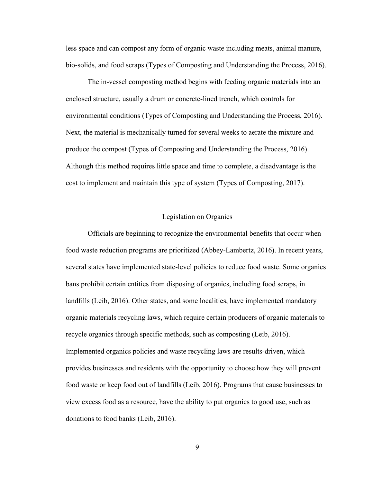less space and can compost any form of organic waste including meats, animal manure, bio-solids, and food scraps (Types of Composting and Understanding the Process, 2016).

The in-vessel composting method begins with feeding organic materials into an enclosed structure, usually a drum or concrete-lined trench, which controls for environmental conditions (Types of Composting and Understanding the Process, 2016). Next, the material is mechanically turned for several weeks to aerate the mixture and produce the compost (Types of Composting and Understanding the Process, 2016). Although this method requires little space and time to complete, a disadvantage is the cost to implement and maintain this type of system (Types of Composting, 2017).

#### Legislation on Organics

Officials are beginning to recognize the environmental benefits that occur when food waste reduction programs are prioritized (Abbey-Lambertz, 2016). In recent years, several states have implemented state-level policies to reduce food waste. Some organics bans prohibit certain entities from disposing of organics, including food scraps, in landfills (Leib, 2016). Other states, and some localities, have implemented mandatory organic materials recycling laws, which require certain producers of organic materials to recycle organics through specific methods, such as composting (Leib, 2016). Implemented organics policies and waste recycling laws are results-driven, which provides businesses and residents with the opportunity to choose how they will prevent food waste or keep food out of landfills (Leib, 2016). Programs that cause businesses to view excess food as a resource, have the ability to put organics to good use, such as donations to food banks (Leib, 2016).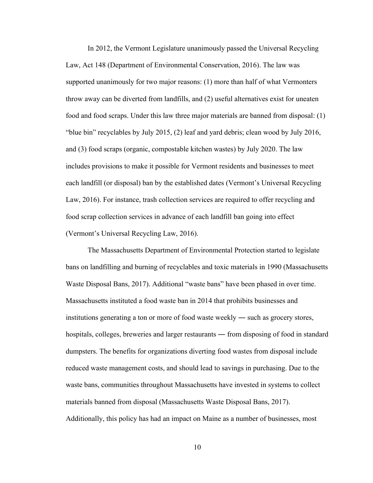In 2012, the Vermont Legislature unanimously passed the Universal Recycling Law, Act 148 (Department of Environmental Conservation, 2016). The law was supported unanimously for two major reasons: (1) more than half of what Vermonters throw away can be diverted from landfills, and (2) useful alternatives exist for uneaten food and food scraps. Under this law three major materials are banned from disposal: (1) "blue bin" recyclables by July 2015, (2) leaf and yard debris; clean wood by July 2016, and (3) food scraps (organic, compostable kitchen wastes) by July 2020. The law includes provisions to make it possible for Vermont residents and businesses to meet each landfill (or disposal) ban by the established dates (Vermont's Universal Recycling Law, 2016). For instance, trash collection services are required to offer recycling and food scrap collection services in advance of each landfill ban going into effect (Vermont's Universal Recycling Law, 2016).

The Massachusetts Department of Environmental Protection started to legislate bans on landfilling and burning of recyclables and toxic materials in 1990 (Massachusetts Waste Disposal Bans, 2017). Additional "waste bans" have been phased in over time. Massachusetts instituted a food waste ban in 2014 that prohibits businesses and institutions generating a ton or more of food waste weekly ― such as grocery stores, hospitals, colleges, breweries and larger restaurants — from disposing of food in standard dumpsters. The benefits for organizations diverting food wastes from disposal include reduced waste management costs, and should lead to savings in purchasing. Due to the waste bans, communities throughout Massachusetts have invested in systems to collect materials banned from disposal (Massachusetts Waste Disposal Bans, 2017). Additionally, this policy has had an impact on Maine as a number of businesses, most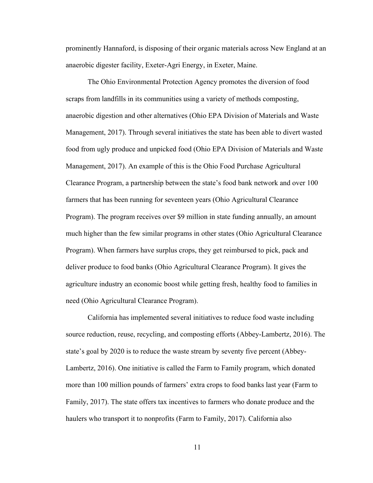prominently Hannaford, is disposing of their organic materials across New England at an anaerobic digester facility, Exeter-Agri Energy, in Exeter, Maine.

The Ohio Environmental Protection Agency promotes the diversion of food scraps from landfills in its communities using a variety of methods composting, anaerobic digestion and other alternatives (Ohio EPA Division of Materials and Waste Management, 2017). Through several initiatives the state has been able to divert wasted food from ugly produce and unpicked food (Ohio EPA Division of Materials and Waste Management, 2017). An example of this is the Ohio Food Purchase Agricultural Clearance Program, a partnership between the state's food bank network and over 100 farmers that has been running for seventeen years (Ohio Agricultural Clearance Program). The program receives over \$9 million in state funding annually, an amount much higher than the few similar programs in other states (Ohio Agricultural Clearance Program). When farmers have surplus crops, they get reimbursed to pick, pack and deliver produce to food banks (Ohio Agricultural Clearance Program). It gives the agriculture industry an economic boost while getting fresh, healthy food to families in need (Ohio Agricultural Clearance Program).

California has implemented several initiatives to reduce food waste including source reduction, reuse, recycling, and composting efforts (Abbey-Lambertz, 2016). The state's goal by 2020 is to reduce the waste stream by seventy five percent (Abbey-Lambertz, 2016). One initiative is called the Farm to Family program, which donated more than 100 million pounds of farmers' extra crops to food banks last year (Farm to Family, 2017). The state offers tax incentives to farmers who donate produce and the haulers who transport it to nonprofits (Farm to Family, 2017). California also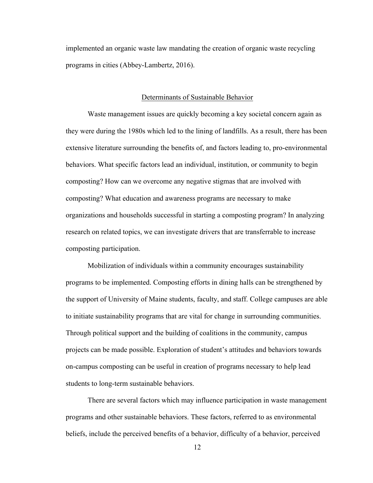implemented an organic waste law mandating the creation of organic waste recycling programs in cities (Abbey-Lambertz, 2016).

#### Determinants of Sustainable Behavior

Waste management issues are quickly becoming a key societal concern again as they were during the 1980s which led to the lining of landfills. As a result, there has been extensive literature surrounding the benefits of, and factors leading to, pro-environmental behaviors. What specific factors lead an individual, institution, or community to begin composting? How can we overcome any negative stigmas that are involved with composting? What education and awareness programs are necessary to make organizations and households successful in starting a composting program? In analyzing research on related topics, we can investigate drivers that are transferrable to increase composting participation.

Mobilization of individuals within a community encourages sustainability programs to be implemented. Composting efforts in dining halls can be strengthened by the support of University of Maine students, faculty, and staff. College campuses are able to initiate sustainability programs that are vital for change in surrounding communities. Through political support and the building of coalitions in the community, campus projects can be made possible. Exploration of student's attitudes and behaviors towards on-campus composting can be useful in creation of programs necessary to help lead students to long-term sustainable behaviors.

There are several factors which may influence participation in waste management programs and other sustainable behaviors. These factors, referred to as environmental beliefs, include the perceived benefits of a behavior, difficulty of a behavior, perceived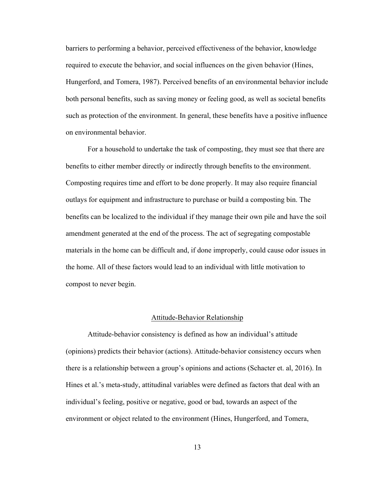barriers to performing a behavior, perceived effectiveness of the behavior, knowledge required to execute the behavior, and social influences on the given behavior (Hines, Hungerford, and Tomera, 1987). Perceived benefits of an environmental behavior include both personal benefits, such as saving money or feeling good, as well as societal benefits such as protection of the environment. In general, these benefits have a positive influence on environmental behavior.

For a household to undertake the task of composting, they must see that there are benefits to either member directly or indirectly through benefits to the environment. Composting requires time and effort to be done properly. It may also require financial outlays for equipment and infrastructure to purchase or build a composting bin. The benefits can be localized to the individual if they manage their own pile and have the soil amendment generated at the end of the process. The act of segregating compostable materials in the home can be difficult and, if done improperly, could cause odor issues in the home. All of these factors would lead to an individual with little motivation to compost to never begin.

#### Attitude-Behavior Relationship

Attitude-behavior consistency is defined as how an individual's attitude (opinions) predicts their behavior (actions). Attitude-behavior consistency occurs when there is a relationship between a group's opinions and actions (Schacter et. al, 2016). In Hines et al.'s meta-study, attitudinal variables were defined as factors that deal with an individual's feeling, positive or negative, good or bad, towards an aspect of the environment or object related to the environment (Hines, Hungerford, and Tomera,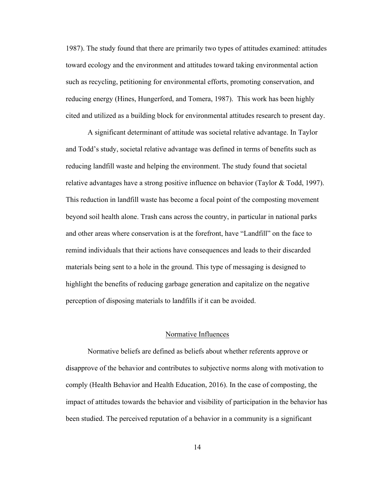1987). The study found that there are primarily two types of attitudes examined: attitudes toward ecology and the environment and attitudes toward taking environmental action such as recycling, petitioning for environmental efforts, promoting conservation, and reducing energy (Hines, Hungerford, and Tomera, 1987). This work has been highly cited and utilized as a building block for environmental attitudes research to present day.

A significant determinant of attitude was societal relative advantage. In Taylor and Todd's study, societal relative advantage was defined in terms of benefits such as reducing landfill waste and helping the environment. The study found that societal relative advantages have a strong positive influence on behavior (Taylor  $&$  Todd, 1997). This reduction in landfill waste has become a focal point of the composting movement beyond soil health alone. Trash cans across the country, in particular in national parks and other areas where conservation is at the forefront, have "Landfill" on the face to remind individuals that their actions have consequences and leads to their discarded materials being sent to a hole in the ground. This type of messaging is designed to highlight the benefits of reducing garbage generation and capitalize on the negative perception of disposing materials to landfills if it can be avoided.

#### Normative Influences

Normative beliefs are defined as beliefs about whether referents approve or disapprove of the behavior and contributes to subjective norms along with motivation to comply (Health Behavior and Health Education, 2016). In the case of composting, the impact of attitudes towards the behavior and visibility of participation in the behavior has been studied. The perceived reputation of a behavior in a community is a significant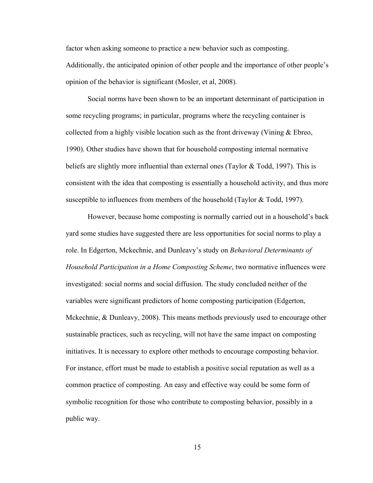factor when asking someone to practice a new behavior such as composting. Additionally, the anticipated opinion of other people and the importance of other people's opinion of the behavior is significant (Mosler, et al, 2008).

Social norms have been shown to be an important determinant of participation in some recycling programs; in particular, programs where the recycling container is collected from a highly visible location such as the front driveway (Vining & Ebreo, 1990). Other studies have shown that for household composting internal normative beliefs are slightly more influential than external ones (Taylor & Todd, 1997). This is consistent with the idea that composting is essentially a household activity, and thus more susceptible to influences from members of the household (Taylor & Todd, 1997).

However, because home composting is normally carried out in a household's back yard some studies have suggested there are less opportunities for social norms to play a role. In Edgerton, Mckechnie, and Dunleavy's study on *Behavioral Determinants of Household Participation in a Home Composting Scheme*, two normative influences were investigated: social norms and social diffusion. The study concluded neither of the variables were significant predictors of home composting participation (Edgerton, Mckechnie, & Dunleavy, 2008). This means methods previously used to encourage other sustainable practices, such as recycling, will not have the same impact on composting initiatives. It is necessary to explore other methods to encourage composting behavior. For instance, effort must be made to establish a positive social reputation as well as a common practice of composting. An easy and effective way could be some form of symbolic recognition for those who contribute to composting behavior, possibly in a public way.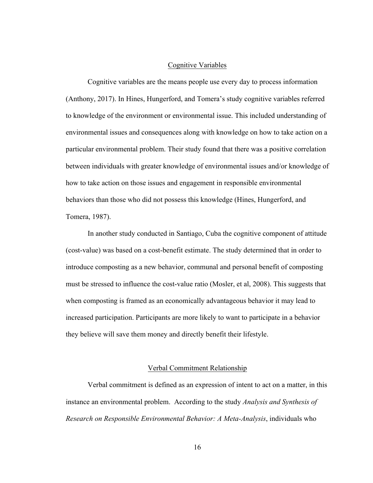#### Cognitive Variables

Cognitive variables are the means people use every day to process information (Anthony, 2017). In Hines, Hungerford, and Tomera's study cognitive variables referred to knowledge of the environment or environmental issue. This included understanding of environmental issues and consequences along with knowledge on how to take action on a particular environmental problem. Their study found that there was a positive correlation between individuals with greater knowledge of environmental issues and/or knowledge of how to take action on those issues and engagement in responsible environmental behaviors than those who did not possess this knowledge (Hines, Hungerford, and Tomera, 1987).

In another study conducted in Santiago, Cuba the cognitive component of attitude (cost-value) was based on a cost-benefit estimate. The study determined that in order to introduce composting as a new behavior, communal and personal benefit of composting must be stressed to influence the cost-value ratio (Mosler, et al, 2008). This suggests that when composting is framed as an economically advantageous behavior it may lead to increased participation. Participants are more likely to want to participate in a behavior they believe will save them money and directly benefit their lifestyle.

#### Verbal Commitment Relationship

Verbal commitment is defined as an expression of intent to act on a matter, in this instance an environmental problem. According to the study *Analysis and Synthesis of Research on Responsible Environmental Behavior: A Meta-Analysis*, individuals who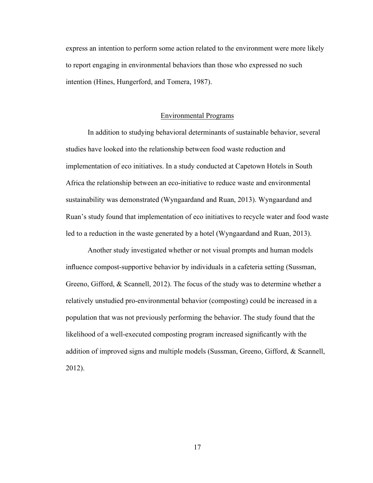express an intention to perform some action related to the environment were more likely to report engaging in environmental behaviors than those who expressed no such intention (Hines, Hungerford, and Tomera, 1987).

#### Environmental Programs

In addition to studying behavioral determinants of sustainable behavior, several studies have looked into the relationship between food waste reduction and implementation of eco initiatives. In a study conducted at Capetown Hotels in South Africa the relationship between an eco-initiative to reduce waste and environmental sustainability was demonstrated (Wyngaardand and Ruan, 2013). Wyngaardand and Ruan's study found that implementation of eco initiatives to recycle water and food waste led to a reduction in the waste generated by a hotel (Wyngaardand and Ruan, 2013).

Another study investigated whether or not visual prompts and human models influence compost-supportive behavior by individuals in a cafeteria setting (Sussman, Greeno, Gifford, & Scannell, 2012). The focus of the study was to determine whether a relatively unstudied pro-environmental behavior (composting) could be increased in a population that was not previously performing the behavior. The study found that the likelihood of a well-executed composting program increased significantly with the addition of improved signs and multiple models (Sussman, Greeno, Gifford, & Scannell, 2012).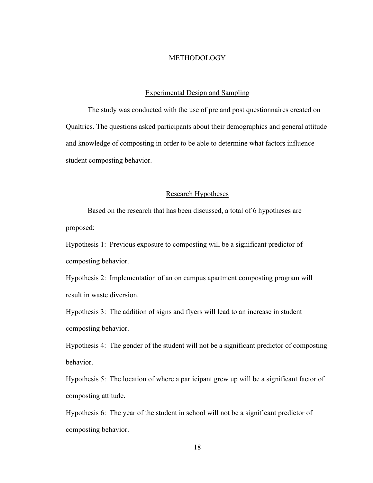#### **METHODOLOGY**

#### Experimental Design and Sampling

The study was conducted with the use of pre and post questionnaires created on Qualtrics. The questions asked participants about their demographics and general attitude and knowledge of composting in order to be able to determine what factors influence student composting behavior.

#### Research Hypotheses

Based on the research that has been discussed, a total of 6 hypotheses are proposed:

Hypothesis 1: Previous exposure to composting will be a significant predictor of composting behavior.

Hypothesis 2: Implementation of an on campus apartment composting program will result in waste diversion.

Hypothesis 3: The addition of signs and flyers will lead to an increase in student composting behavior.

Hypothesis 4: The gender of the student will not be a significant predictor of composting behavior.

Hypothesis 5: The location of where a participant grew up will be a significant factor of composting attitude.

Hypothesis 6: The year of the student in school will not be a significant predictor of composting behavior.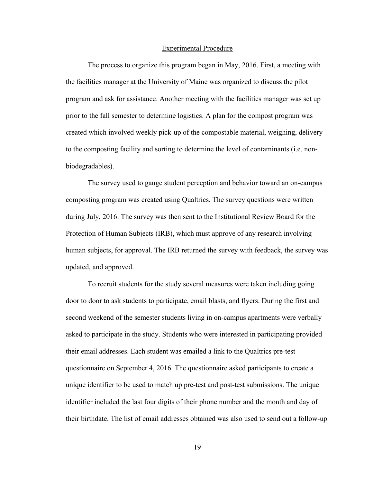#### Experimental Procedure

The process to organize this program began in May, 2016. First, a meeting with the facilities manager at the University of Maine was organized to discuss the pilot program and ask for assistance. Another meeting with the facilities manager was set up prior to the fall semester to determine logistics. A plan for the compost program was created which involved weekly pick-up of the compostable material, weighing, delivery to the composting facility and sorting to determine the level of contaminants (i.e. nonbiodegradables).

The survey used to gauge student perception and behavior toward an on-campus composting program was created using Qualtrics. The survey questions were written during July, 2016. The survey was then sent to the Institutional Review Board for the Protection of Human Subjects (IRB), which must approve of any research involving human subjects, for approval. The IRB returned the survey with feedback, the survey was updated, and approved.

To recruit students for the study several measures were taken including going door to door to ask students to participate, email blasts, and flyers. During the first and second weekend of the semester students living in on-campus apartments were verbally asked to participate in the study. Students who were interested in participating provided their email addresses. Each student was emailed a link to the Qualtrics pre-test questionnaire on September 4, 2016. The questionnaire asked participants to create a unique identifier to be used to match up pre-test and post-test submissions. The unique identifier included the last four digits of their phone number and the month and day of their birthdate. The list of email addresses obtained was also used to send out a follow-up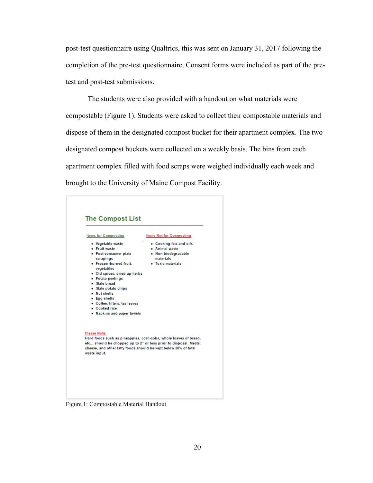post-test questionnaire using Qualtrics, this was sent on January 31, 2017 following the completion of the pre-test questionnaire. Consent forms were included as part of the pretest and post-test submissions.

The students were also provided with a handout on what materials were compostable (Figure 1). Students were asked to collect their compostable materials and dispose of them in the designated compost bucket for their apartment complex. The two designated compost buckets were collected on a weekly basis. The bins from each apartment complex filled with food scraps were weighed individually each week and brought to the University of Maine Compost Facility.



Figure 1: Compostable Material Handout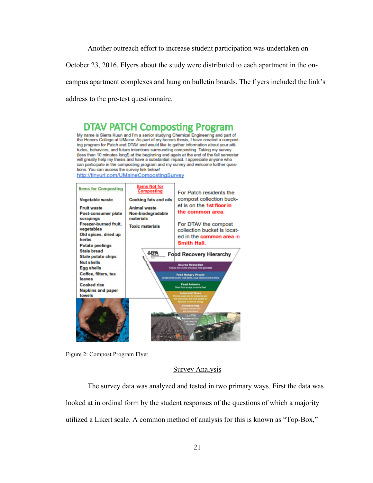Another outreach effort to increase student participation was undertaken on

October 23, 2016. Flyers about the study were distributed to each apartment in the on-

campus apartment complexes and hung on bulletin boards. The flyers included the link's

address to the pre-test questionnaire.

### **DTAV PATCH Composting Program** My name is Sierra Kuun and I'm a senior studying Chemical Engineering and part of

the Honors College at UMaine. As part of my honors thesis, I have created a composting program for Patch and DTAV and would like to gather information about your attitudes, behaviors, and future intentions surrounding composting. Taking my survey (less than 10 minutes long!) at the beginning and again at the end of the fall semester will greatly help my thesis and have a substantial impact. I appreciate anyone who can participate in the composting program and my survey and welcome further questions. You can access the survey link below!





#### Survey Analysis

The survey data was analyzed and tested in two primary ways. First the data was looked at in ordinal form by the student responses of the questions of which a majority utilized a Likert scale. A common method of analysis for this is known as "Top-Box,"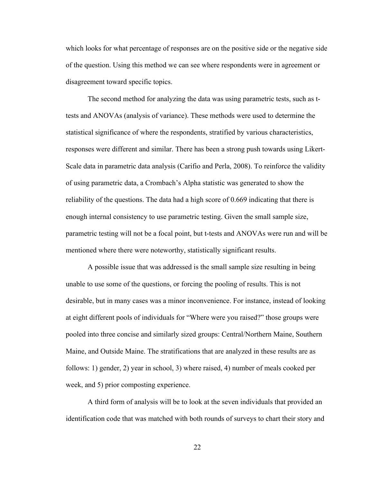which looks for what percentage of responses are on the positive side or the negative side of the question. Using this method we can see where respondents were in agreement or disagreement toward specific topics.

The second method for analyzing the data was using parametric tests, such as ttests and ANOVAs (analysis of variance). These methods were used to determine the statistical significance of where the respondents, stratified by various characteristics, responses were different and similar. There has been a strong push towards using Likert-Scale data in parametric data analysis (Carifio and Perla, 2008). To reinforce the validity of using parametric data, a Crombach's Alpha statistic was generated to show the reliability of the questions. The data had a high score of 0.669 indicating that there is enough internal consistency to use parametric testing. Given the small sample size, parametric testing will not be a focal point, but t-tests and ANOVAs were run and will be mentioned where there were noteworthy, statistically significant results.

A possible issue that was addressed is the small sample size resulting in being unable to use some of the questions, or forcing the pooling of results. This is not desirable, but in many cases was a minor inconvenience. For instance, instead of looking at eight different pools of individuals for "Where were you raised?" those groups were pooled into three concise and similarly sized groups: Central/Northern Maine, Southern Maine, and Outside Maine. The stratifications that are analyzed in these results are as follows: 1) gender, 2) year in school, 3) where raised, 4) number of meals cooked per week, and 5) prior composting experience.

A third form of analysis will be to look at the seven individuals that provided an identification code that was matched with both rounds of surveys to chart their story and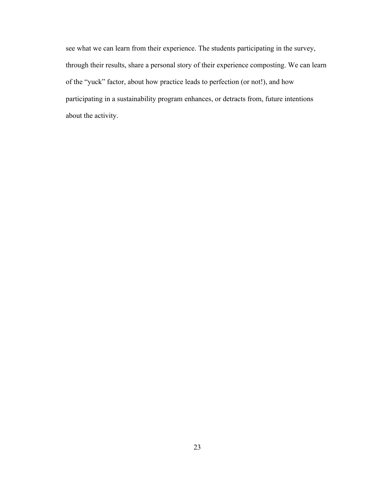see what we can learn from their experience. The students participating in the survey, through their results, share a personal story of their experience composting. We can learn of the "yuck" factor, about how practice leads to perfection (or not!), and how participating in a sustainability program enhances, or detracts from, future intentions about the activity.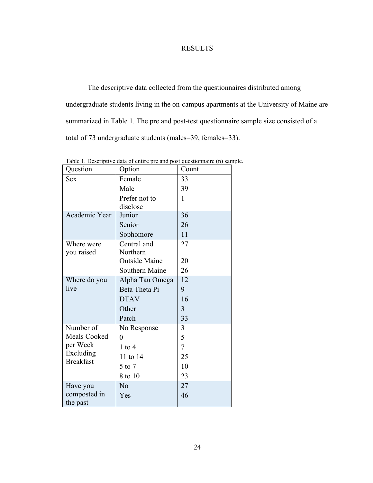### RESULTS

The descriptive data collected from the questionnaires distributed among undergraduate students living in the on-campus apartments at the University of Maine are summarized in Table 1. The pre and post-test questionnaire sample size consisted of a total of 73 undergraduate students (males=39, females=33).

| Question            | Option                | Count |
|---------------------|-----------------------|-------|
| <b>Sex</b>          | Female                | 33    |
|                     | Male                  | 39    |
|                     | Prefer not to         | 1     |
|                     | disclose              |       |
| Academic Year       | Junior                | 36    |
|                     | Senior                | 26    |
|                     | Sophomore             | 11    |
| Where were          | Central and           | 27    |
| you raised          | Northern              |       |
|                     | <b>Outside Maine</b>  | 20    |
|                     | <b>Southern Maine</b> | 26    |
| Where do you        | Alpha Tau Omega       | 12    |
| live                | Beta Theta Pi         | 9     |
|                     | <b>DTAV</b>           | 16    |
|                     | Other                 | 3     |
|                     | Patch                 | 33    |
| Number of           | No Response           | 3     |
| <b>Meals Cooked</b> | 0                     | 5     |
| per Week            | $1$ to $4$            | 7     |
| Excluding           | 11 to 14              | 25    |
| <b>Breakfast</b>    | 5 to 7                | 10    |
|                     | 8 to 10               | 23    |
| Have you            | No                    | 27    |
| composted in        | Yes                   | 46    |
| the past            |                       |       |

Table 1. Descriptive data of entire pre and post questionnaire (n) sample.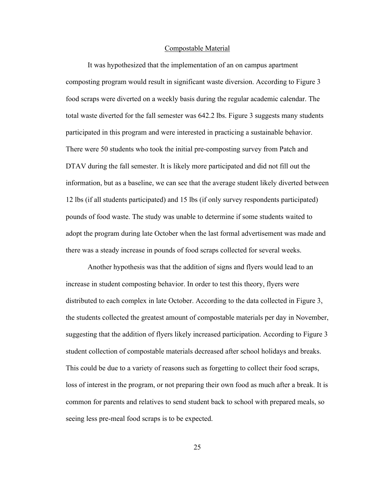#### Compostable Material

It was hypothesized that the implementation of an on campus apartment composting program would result in significant waste diversion. According to Figure 3 food scraps were diverted on a weekly basis during the regular academic calendar. The total waste diverted for the fall semester was 642.2 lbs. Figure 3 suggests many students participated in this program and were interested in practicing a sustainable behavior. There were 50 students who took the initial pre-composting survey from Patch and DTAV during the fall semester. It is likely more participated and did not fill out the information, but as a baseline, we can see that the average student likely diverted between 12 lbs (if all students participated) and 15 lbs (if only survey respondents participated) pounds of food waste. The study was unable to determine if some students waited to adopt the program during late October when the last formal advertisement was made and there was a steady increase in pounds of food scraps collected for several weeks.

Another hypothesis was that the addition of signs and flyers would lead to an increase in student composting behavior. In order to test this theory, flyers were distributed to each complex in late October. According to the data collected in Figure 3, the students collected the greatest amount of compostable materials per day in November, suggesting that the addition of flyers likely increased participation. According to Figure 3 student collection of compostable materials decreased after school holidays and breaks. This could be due to a variety of reasons such as forgetting to collect their food scraps, loss of interest in the program, or not preparing their own food as much after a break. It is common for parents and relatives to send student back to school with prepared meals, so seeing less pre-meal food scraps is to be expected.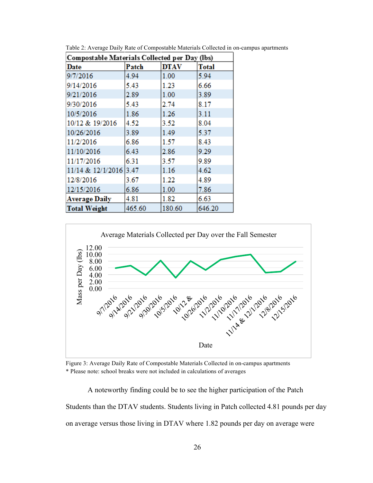| Compostable Materials Collected per Day (lbs) |        |             |              |
|-----------------------------------------------|--------|-------------|--------------|
| Date                                          | Patch  | <b>DTAV</b> | <b>Total</b> |
| 9/7/2016                                      | 4.94   | 1.00        | 5.94         |
| 9/14/2016                                     | 5.43   | 1.23        | 6.66         |
| 9/21/2016                                     | 2.89   | 1.00        | 3.89         |
| 9/30/2016                                     | 5.43   | 2.74        | 8.17         |
| 10/5/2016                                     | 1.86   | 1.26        | 3.11         |
| 10/12 & 19/2016                               | 4.52   | 3.52        | 8.04         |
| 10/26/2016                                    | 3.89   | 1.49        | 5.37         |
| 11/2/2016                                     | 6.86   | 1.57        | 8.43         |
| 11/10/2016                                    | 6.43   | 2.86        | 9.29         |
| 11/17/2016                                    | 6.31   | 3.57        | 9.89         |
| 11/14 & 12/1/2016 3.47                        |        | 1.16        | 4.62         |
| 12/8/2016                                     | 3.67   | 1.22        | 4.89         |
| 12/15/2016                                    | 6.86   | 1.00        | 7.86         |
| Average Daily                                 | 4.81   | 1.82        | 6.63         |
| <b>Total Weight</b>                           | 465.60 | 180.60      | 646.20       |

Table 2: Average Daily Rate of Compostable Materials Collected in on-campus apartments



Figure 3: Average Daily Rate of Compostable Materials Collected in on-campus apartments \* Please note: school breaks were not included in calculations of averages

A noteworthy finding could be to see the higher participation of the Patch Students than the DTAV students. Students living in Patch collected 4.81 pounds per day on average versus those living in DTAV where 1.82 pounds per day on average were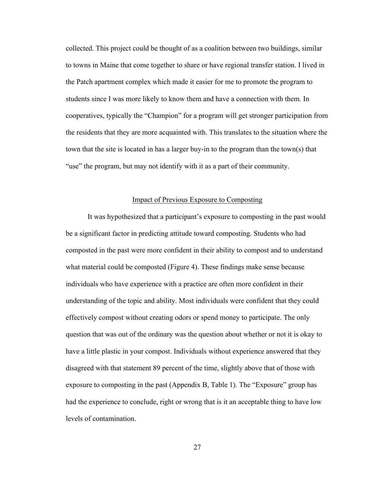collected. This project could be thought of as a coalition between two buildings, similar to towns in Maine that come together to share or have regional transfer station. I lived in the Patch apartment complex which made it easier for me to promote the program to students since I was more likely to know them and have a connection with them. In cooperatives, typically the "Champion" for a program will get stronger participation from the residents that they are more acquainted with. This translates to the situation where the town that the site is located in has a larger buy-in to the program than the town(s) that "use" the program, but may not identify with it as a part of their community.

#### Impact of Previous Exposure to Composting

It was hypothesized that a participant's exposure to composting in the past would be a significant factor in predicting attitude toward composting. Students who had composted in the past were more confident in their ability to compost and to understand what material could be composted (Figure 4). These findings make sense because individuals who have experience with a practice are often more confident in their understanding of the topic and ability. Most individuals were confident that they could effectively compost without creating odors or spend money to participate. The only question that was out of the ordinary was the question about whether or not it is okay to have a little plastic in your compost. Individuals without experience answered that they disagreed with that statement 89 percent of the time, slightly above that of those with exposure to composting in the past (Appendix B, Table 1). The "Exposure" group has had the experience to conclude, right or wrong that is it an acceptable thing to have low levels of contamination.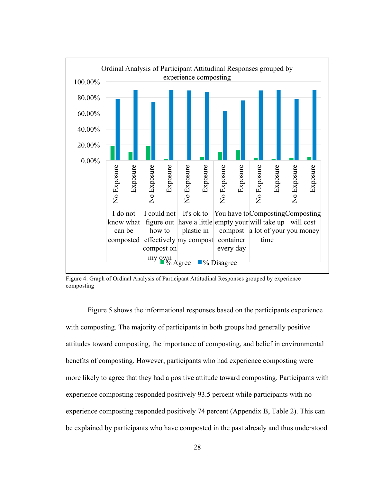

Figure 4: Graph of Ordinal Analysis of Participant Attitudinal Responses grouped by experience composting

Figure 5 shows the informational responses based on the participants experience with composting. The majority of participants in both groups had generally positive attitudes toward composting, the importance of composting, and belief in environmental benefits of composting. However, participants who had experience composting were more likely to agree that they had a positive attitude toward composting. Participants with experience composting responded positively 93.5 percent while participants with no experience composting responded positively 74 percent (Appendix B, Table 2). This can be explained by participants who have composted in the past already and thus understood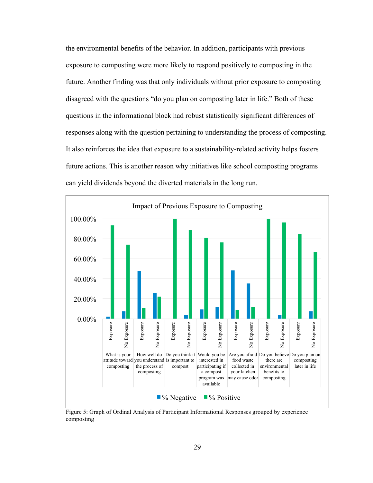the environmental benefits of the behavior. In addition, participants with previous exposure to composting were more likely to respond positively to composting in the future. Another finding was that only individuals without prior exposure to composting disagreed with the questions "do you plan on composting later in life." Both of these questions in the informational block had robust statistically significant differences of responses along with the question pertaining to understanding the process of composting. It also reinforces the idea that exposure to a sustainability-related activity helps fosters future actions. This is another reason why initiatives like school composting programs can yield dividends beyond the diverted materials in the long run.



Figure 5: Graph of Ordinal Analysis of Participant Informational Responses grouped by experience composting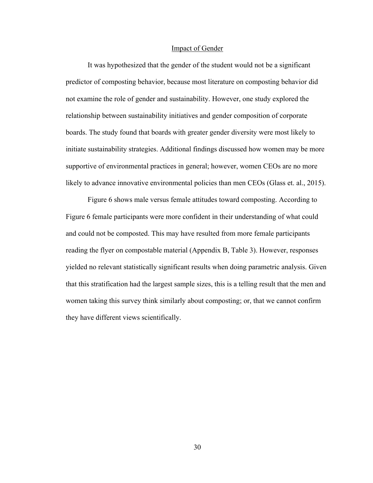#### Impact of Gender

It was hypothesized that the gender of the student would not be a significant predictor of composting behavior, because most literature on composting behavior did not examine the role of gender and sustainability. However, one study explored the relationship between sustainability initiatives and gender composition of corporate boards. The study found that boards with greater gender diversity were most likely to initiate sustainability strategies. Additional findings discussed how women may be more supportive of environmental practices in general; however, women CEOs are no more likely to advance innovative environmental policies than men CEOs (Glass et. al., 2015).

Figure 6 shows male versus female attitudes toward composting. According to Figure 6 female participants were more confident in their understanding of what could and could not be composted. This may have resulted from more female participants reading the flyer on compostable material (Appendix B, Table 3). However, responses yielded no relevant statistically significant results when doing parametric analysis. Given that this stratification had the largest sample sizes, this is a telling result that the men and women taking this survey think similarly about composting; or, that we cannot confirm they have different views scientifically.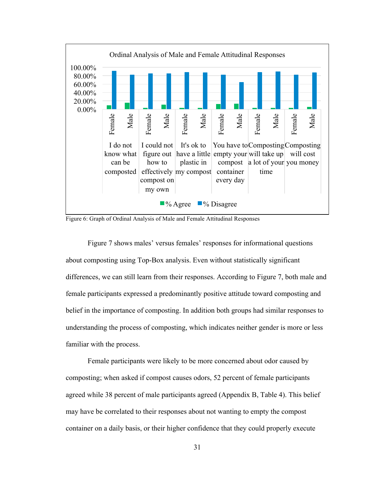

Figure 6: Graph of Ordinal Analysis of Male and Female Attitudinal Responses

Figure 7 shows males' versus females' responses for informational questions about composting using Top-Box analysis. Even without statistically significant differences, we can still learn from their responses. According to Figure 7, both male and female participants expressed a predominantly positive attitude toward composting and belief in the importance of composting. In addition both groups had similar responses to understanding the process of composting, which indicates neither gender is more or less familiar with the process.

Female participants were likely to be more concerned about odor caused by composting; when asked if compost causes odors, 52 percent of female participants agreed while 38 percent of male participants agreed (Appendix B, Table 4). This belief may have be correlated to their responses about not wanting to empty the compost container on a daily basis, or their higher confidence that they could properly execute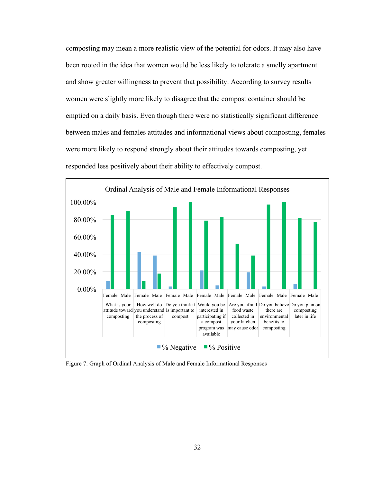composting may mean a more realistic view of the potential for odors. It may also have been rooted in the idea that women would be less likely to tolerate a smelly apartment and show greater willingness to prevent that possibility. According to survey results women were slightly more likely to disagree that the compost container should be emptied on a daily basis. Even though there were no statistically significant difference between males and females attitudes and informational views about composting, females were more likely to respond strongly about their attitudes towards composting, yet responded less positively about their ability to effectively compost.



Figure 7: Graph of Ordinal Analysis of Male and Female Informational Responses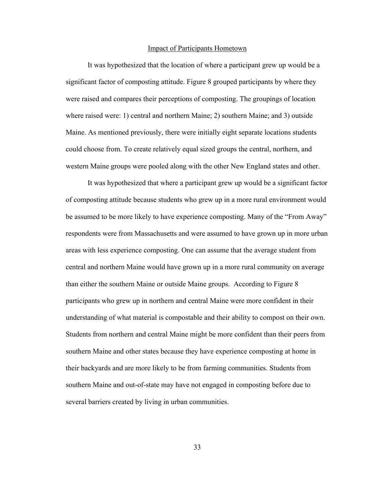#### Impact of Participants Hometown

It was hypothesized that the location of where a participant grew up would be a significant factor of composting attitude. Figure 8 grouped participants by where they were raised and compares their perceptions of composting. The groupings of location where raised were: 1) central and northern Maine; 2) southern Maine; and 3) outside Maine. As mentioned previously, there were initially eight separate locations students could choose from. To create relatively equal sized groups the central, northern, and western Maine groups were pooled along with the other New England states and other.

It was hypothesized that where a participant grew up would be a significant factor of composting attitude because students who grew up in a more rural environment would be assumed to be more likely to have experience composting. Many of the "From Away" respondents were from Massachusetts and were assumed to have grown up in more urban areas with less experience composting. One can assume that the average student from central and northern Maine would have grown up in a more rural community on average than either the southern Maine or outside Maine groups. According to Figure 8 participants who grew up in northern and central Maine were more confident in their understanding of what material is compostable and their ability to compost on their own. Students from northern and central Maine might be more confident than their peers from southern Maine and other states because they have experience composting at home in their backyards and are more likely to be from farming communities. Students from southern Maine and out-of-state may have not engaged in composting before due to several barriers created by living in urban communities.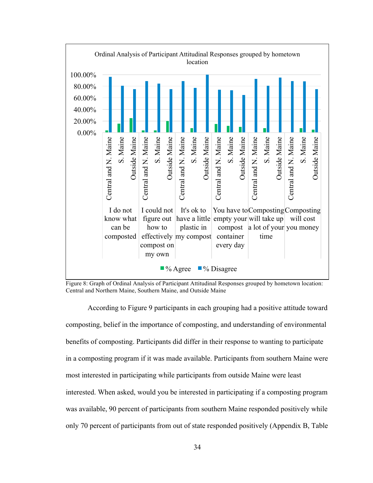

Figure 8: Graph of Ordinal Analysis of Participant Attitudinal Responses grouped by hometown location: Central and Northern Maine, Southern Maine, and Outside Maine

According to Figure 9 participants in each grouping had a positive attitude toward composting, belief in the importance of composting, and understanding of environmental benefits of composting. Participants did differ in their response to wanting to participate in a composting program if it was made available. Participants from southern Maine were most interested in participating while participants from outside Maine were least interested. When asked, would you be interested in participating if a composting program was available, 90 percent of participants from southern Maine responded positively while only 70 percent of participants from out of state responded positively (Appendix B, Table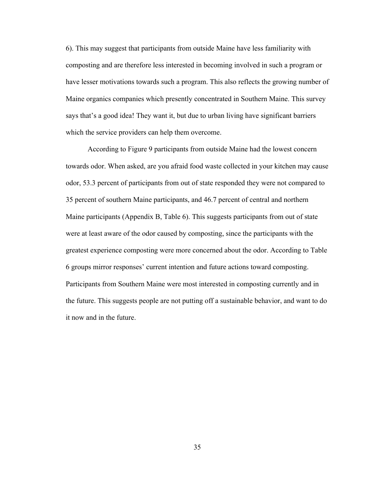6). This may suggest that participants from outside Maine have less familiarity with composting and are therefore less interested in becoming involved in such a program or have lesser motivations towards such a program. This also reflects the growing number of Maine organics companies which presently concentrated in Southern Maine. This survey says that's a good idea! They want it, but due to urban living have significant barriers which the service providers can help them overcome.

According to Figure 9 participants from outside Maine had the lowest concern towards odor. When asked, are you afraid food waste collected in your kitchen may cause odor, 53.3 percent of participants from out of state responded they were not compared to 35 percent of southern Maine participants, and 46.7 percent of central and northern Maine participants (Appendix B, Table 6). This suggests participants from out of state were at least aware of the odor caused by composting, since the participants with the greatest experience composting were more concerned about the odor. According to Table 6 groups mirror responses' current intention and future actions toward composting. Participants from Southern Maine were most interested in composting currently and in the future. This suggests people are not putting off a sustainable behavior, and want to do it now and in the future.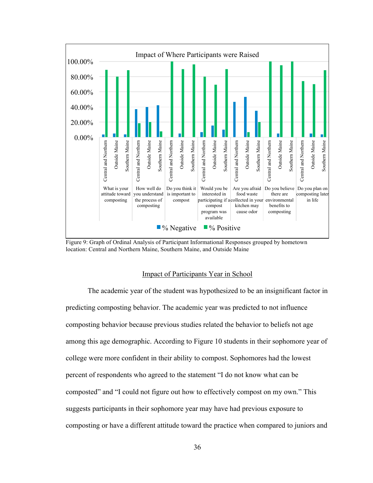

Figure 9: Graph of Ordinal Analysis of Participant Informational Responses grouped by hometown location: Central and Northern Maine, Southern Maine, and Outside Maine

#### Impact of Participants Year in School

The academic year of the student was hypothesized to be an insignificant factor in predicting composting behavior. The academic year was predicted to not influence composting behavior because previous studies related the behavior to beliefs not age among this age demographic. According to Figure 10 students in their sophomore year of college were more confident in their ability to compost. Sophomores had the lowest percent of respondents who agreed to the statement "I do not know what can be composted" and "I could not figure out how to effectively compost on my own." This suggests participants in their sophomore year may have had previous exposure to composting or have a different attitude toward the practice when compared to juniors and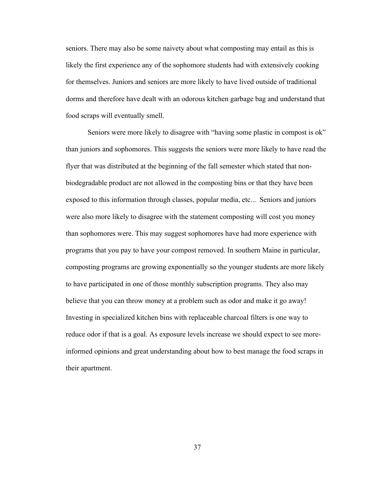seniors. There may also be some naivety about what composting may entail as this is likely the first experience any of the sophomore students had with extensively cooking for themselves. Juniors and seniors are more likely to have lived outside of traditional dorms and therefore have dealt with an odorous kitchen garbage bag and understand that food scraps will eventually smell.

Seniors were more likely to disagree with "having some plastic in compost is ok" than juniors and sophomores. This suggests the seniors were more likely to have read the flyer that was distributed at the beginning of the fall semester which stated that nonbiodegradable product are not allowed in the composting bins or that they have been exposed to this information through classes, popular media, etc... Seniors and juniors were also more likely to disagree with the statement composting will cost you money than sophomores were. This may suggest sophomores have had more experience with programs that you pay to have your compost removed. In southern Maine in particular, composting programs are growing exponentially so the younger students are more likely to have participated in one of those monthly subscription programs. They also may believe that you can throw money at a problem such as odor and make it go away! Investing in specialized kitchen bins with replaceable charcoal filters is one way to reduce odor if that is a goal. As exposure levels increase we should expect to see moreinformed opinions and great understanding about how to best manage the food scraps in their apartment.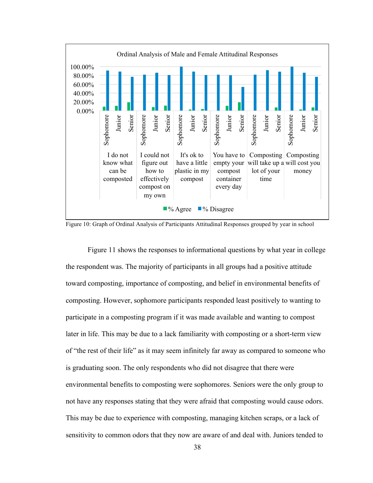

Figure 10: Graph of Ordinal Analysis of Participants Attitudinal Responses grouped by year in school

Figure 11 shows the responses to informational questions by what year in college the respondent was. The majority of participants in all groups had a positive attitude toward composting, importance of composting, and belief in environmental benefits of composting. However, sophomore participants responded least positively to wanting to participate in a composting program if it was made available and wanting to compost later in life. This may be due to a lack familiarity with composting or a short-term view of "the rest of their life" as it may seem infinitely far away as compared to someone who is graduating soon. The only respondents who did not disagree that there were environmental benefits to composting were sophomores. Seniors were the only group to not have any responses stating that they were afraid that composting would cause odors. This may be due to experience with composting, managing kitchen scraps, or a lack of sensitivity to common odors that they now are aware of and deal with. Juniors tended to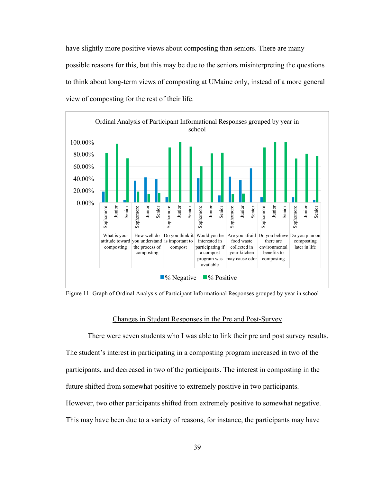have slightly more positive views about composting than seniors. There are many possible reasons for this, but this may be due to the seniors misinterpreting the questions to think about long-term views of composting at UMaine only, instead of a more general view of composting for the rest of their life.



Figure 11: Graph of Ordinal Analysis of Participant Informational Responses grouped by year in school

#### Changes in Student Responses in the Pre and Post-Survey

There were seven students who I was able to link their pre and post survey results. The student's interest in participating in a composting program increased in two of the participants, and decreased in two of the participants. The interest in composting in the future shifted from somewhat positive to extremely positive in two participants. However, two other participants shifted from extremely positive to somewhat negative. This may have been due to a variety of reasons, for instance, the participants may have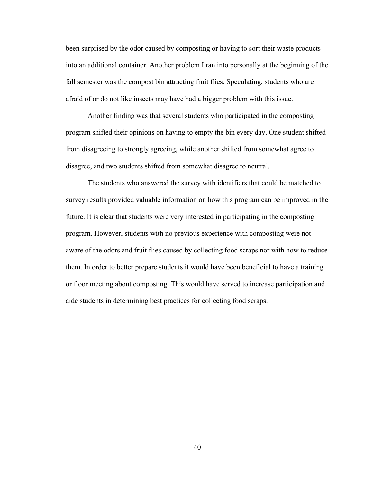been surprised by the odor caused by composting or having to sort their waste products into an additional container. Another problem I ran into personally at the beginning of the fall semester was the compost bin attracting fruit flies. Speculating, students who are afraid of or do not like insects may have had a bigger problem with this issue.

Another finding was that several students who participated in the composting program shifted their opinions on having to empty the bin every day. One student shifted from disagreeing to strongly agreeing, while another shifted from somewhat agree to disagree, and two students shifted from somewhat disagree to neutral.

The students who answered the survey with identifiers that could be matched to survey results provided valuable information on how this program can be improved in the future. It is clear that students were very interested in participating in the composting program. However, students with no previous experience with composting were not aware of the odors and fruit flies caused by collecting food scraps nor with how to reduce them. In order to better prepare students it would have been beneficial to have a training or floor meeting about composting. This would have served to increase participation and aide students in determining best practices for collecting food scraps.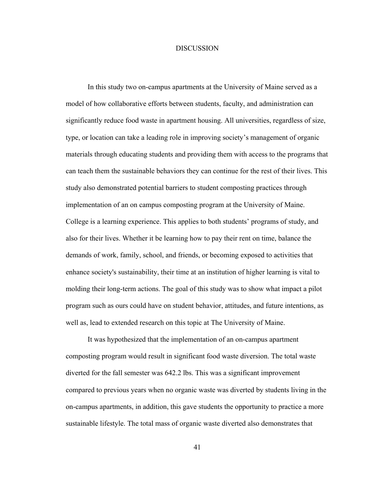#### **DISCUSSION**

In this study two on-campus apartments at the University of Maine served as a model of how collaborative efforts between students, faculty, and administration can significantly reduce food waste in apartment housing. All universities, regardless of size, type, or location can take a leading role in improving society's management of organic materials through educating students and providing them with access to the programs that can teach them the sustainable behaviors they can continue for the rest of their lives. This study also demonstrated potential barriers to student composting practices through implementation of an on campus composting program at the University of Maine. College is a learning experience. This applies to both students' programs of study, and also for their lives. Whether it be learning how to pay their rent on time, balance the demands of work, family, school, and friends, or becoming exposed to activities that enhance society's sustainability, their time at an institution of higher learning is vital to molding their long-term actions. The goal of this study was to show what impact a pilot program such as ours could have on student behavior, attitudes, and future intentions, as well as, lead to extended research on this topic at The University of Maine.

It was hypothesized that the implementation of an on-campus apartment composting program would result in significant food waste diversion. The total waste diverted for the fall semester was 642.2 lbs. This was a significant improvement compared to previous years when no organic waste was diverted by students living in the on-campus apartments, in addition, this gave students the opportunity to practice a more sustainable lifestyle. The total mass of organic waste diverted also demonstrates that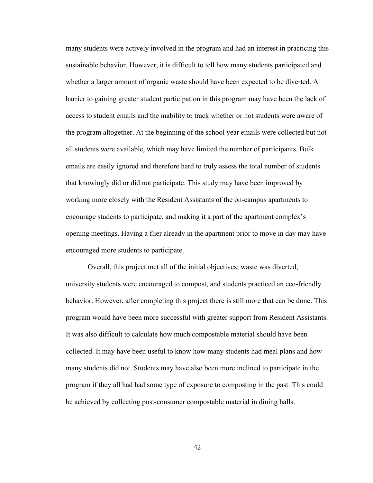many students were actively involved in the program and had an interest in practicing this sustainable behavior. However, it is difficult to tell how many students participated and whether a larger amount of organic waste should have been expected to be diverted. A barrier to gaining greater student participation in this program may have been the lack of access to student emails and the inability to track whether or not students were aware of the program altogether. At the beginning of the school year emails were collected but not all students were available, which may have limited the number of participants. Bulk emails are easily ignored and therefore hard to truly assess the total number of students that knowingly did or did not participate. This study may have been improved by working more closely with the Resident Assistants of the on-campus apartments to encourage students to participate, and making it a part of the apartment complex's opening meetings. Having a flier already in the apartment prior to move in day may have encouraged more students to participate.

Overall, this project met all of the initial objectives; waste was diverted, university students were encouraged to compost, and students practiced an eco-friendly behavior. However, after completing this project there is still more that can be done. This program would have been more successful with greater support from Resident Assistants. It was also difficult to calculate how much compostable material should have been collected. It may have been useful to know how many students had meal plans and how many students did not. Students may have also been more inclined to participate in the program if they all had had some type of exposure to composting in the past. This could be achieved by collecting post-consumer compostable material in dining halls.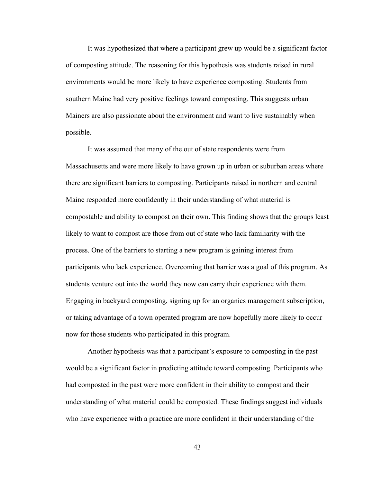It was hypothesized that where a participant grew up would be a significant factor of composting attitude. The reasoning for this hypothesis was students raised in rural environments would be more likely to have experience composting. Students from southern Maine had very positive feelings toward composting. This suggests urban Mainers are also passionate about the environment and want to live sustainably when possible.

It was assumed that many of the out of state respondents were from Massachusetts and were more likely to have grown up in urban or suburban areas where there are significant barriers to composting. Participants raised in northern and central Maine responded more confidently in their understanding of what material is compostable and ability to compost on their own. This finding shows that the groups least likely to want to compost are those from out of state who lack familiarity with the process. One of the barriers to starting a new program is gaining interest from participants who lack experience. Overcoming that barrier was a goal of this program. As students venture out into the world they now can carry their experience with them. Engaging in backyard composting, signing up for an organics management subscription, or taking advantage of a town operated program are now hopefully more likely to occur now for those students who participated in this program.

Another hypothesis was that a participant's exposure to composting in the past would be a significant factor in predicting attitude toward composting. Participants who had composted in the past were more confident in their ability to compost and their understanding of what material could be composted. These findings suggest individuals who have experience with a practice are more confident in their understanding of the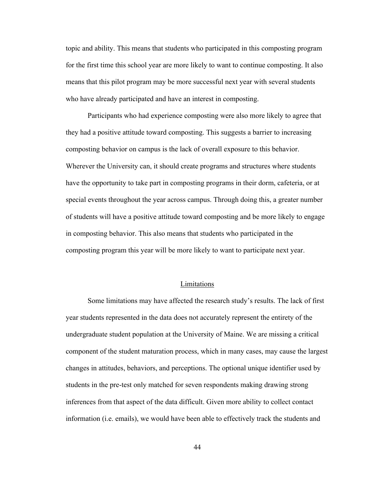topic and ability. This means that students who participated in this composting program for the first time this school year are more likely to want to continue composting. It also means that this pilot program may be more successful next year with several students who have already participated and have an interest in composting.

Participants who had experience composting were also more likely to agree that they had a positive attitude toward composting. This suggests a barrier to increasing composting behavior on campus is the lack of overall exposure to this behavior. Wherever the University can, it should create programs and structures where students have the opportunity to take part in composting programs in their dorm, cafeteria, or at special events throughout the year across campus. Through doing this, a greater number of students will have a positive attitude toward composting and be more likely to engage in composting behavior. This also means that students who participated in the composting program this year will be more likely to want to participate next year.

#### Limitations

Some limitations may have affected the research study's results. The lack of first year students represented in the data does not accurately represent the entirety of the undergraduate student population at the University of Maine. We are missing a critical component of the student maturation process, which in many cases, may cause the largest changes in attitudes, behaviors, and perceptions. The optional unique identifier used by students in the pre-test only matched for seven respondents making drawing strong inferences from that aspect of the data difficult. Given more ability to collect contact information (i.e. emails), we would have been able to effectively track the students and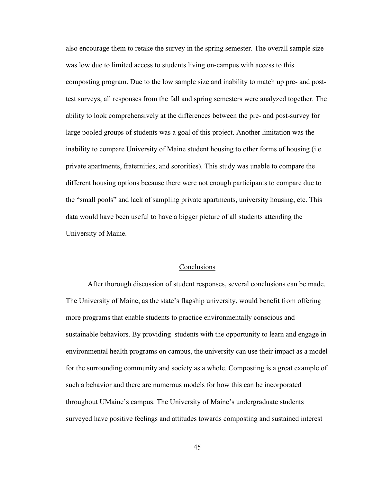also encourage them to retake the survey in the spring semester. The overall sample size was low due to limited access to students living on-campus with access to this composting program. Due to the low sample size and inability to match up pre- and posttest surveys, all responses from the fall and spring semesters were analyzed together. The ability to look comprehensively at the differences between the pre- and post-survey for large pooled groups of students was a goal of this project. Another limitation was the inability to compare University of Maine student housing to other forms of housing (i.e. private apartments, fraternities, and sororities). This study was unable to compare the different housing options because there were not enough participants to compare due to the "small pools" and lack of sampling private apartments, university housing, etc. This data would have been useful to have a bigger picture of all students attending the University of Maine.

#### **Conclusions**

After thorough discussion of student responses, several conclusions can be made. The University of Maine, as the state's flagship university, would benefit from offering more programs that enable students to practice environmentally conscious and sustainable behaviors. By providing students with the opportunity to learn and engage in environmental health programs on campus, the university can use their impact as a model for the surrounding community and society as a whole. Composting is a great example of such a behavior and there are numerous models for how this can be incorporated throughout UMaine's campus. The University of Maine's undergraduate students surveyed have positive feelings and attitudes towards composting and sustained interest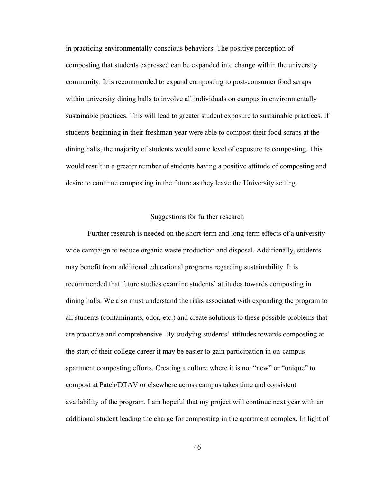in practicing environmentally conscious behaviors. The positive perception of composting that students expressed can be expanded into change within the university community. It is recommended to expand composting to post-consumer food scraps within university dining halls to involve all individuals on campus in environmentally sustainable practices. This will lead to greater student exposure to sustainable practices. If students beginning in their freshman year were able to compost their food scraps at the dining halls, the majority of students would some level of exposure to composting. This would result in a greater number of students having a positive attitude of composting and desire to continue composting in the future as they leave the University setting.

#### Suggestions for further research

Further research is needed on the short-term and long-term effects of a universitywide campaign to reduce organic waste production and disposal. Additionally, students may benefit from additional educational programs regarding sustainability. It is recommended that future studies examine students' attitudes towards composting in dining halls. We also must understand the risks associated with expanding the program to all students (contaminants, odor, etc.) and create solutions to these possible problems that are proactive and comprehensive. By studying students' attitudes towards composting at the start of their college career it may be easier to gain participation in on-campus apartment composting efforts. Creating a culture where it is not "new" or "unique" to compost at Patch/DTAV or elsewhere across campus takes time and consistent availability of the program. I am hopeful that my project will continue next year with an additional student leading the charge for composting in the apartment complex. In light of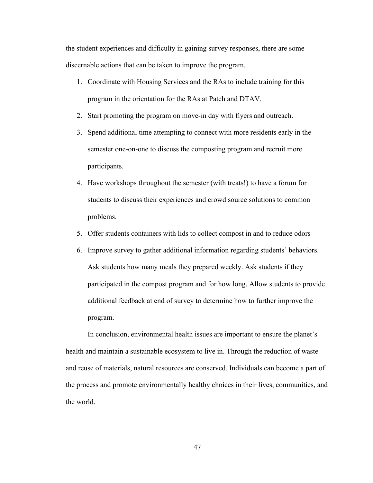the student experiences and difficulty in gaining survey responses, there are some discernable actions that can be taken to improve the program.

- 1. Coordinate with Housing Services and the RAs to include training for this program in the orientation for the RAs at Patch and DTAV.
- 2. Start promoting the program on move-in day with flyers and outreach.
- 3. Spend additional time attempting to connect with more residents early in the semester one-on-one to discuss the composting program and recruit more participants.
- 4. Have workshops throughout the semester (with treats!) to have a forum for students to discuss their experiences and crowd source solutions to common problems.
- 5. Offer students containers with lids to collect compost in and to reduce odors
- 6. Improve survey to gather additional information regarding students' behaviors. Ask students how many meals they prepared weekly. Ask students if they participated in the compost program and for how long. Allow students to provide additional feedback at end of survey to determine how to further improve the program.

In conclusion, environmental health issues are important to ensure the planet's health and maintain a sustainable ecosystem to live in. Through the reduction of waste and reuse of materials, natural resources are conserved. Individuals can become a part of the process and promote environmentally healthy choices in their lives, communities, and the world.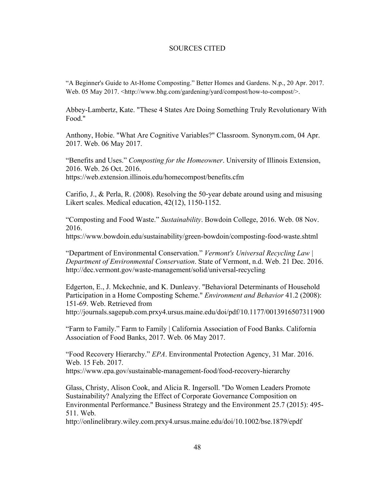#### SOURCES CITED

"A Beginner's Guide to At-Home Composting." Better Homes and Gardens. N.p., 20 Apr. 2017. Web. 05 May 2017. <http://www.bhg.com/gardening/yard/compost/how-to-compost/>.

Abbey-Lambertz, Kate. "These 4 States Are Doing Something Truly Revolutionary With Food."

Anthony, Hobie. "What Are Cognitive Variables?" Classroom. Synonym.com, 04 Apr. 2017. Web. 06 May 2017.

"Benefits and Uses." *Composting for the Homeowner*. University of Illinois Extension, 2016. Web. 26 Oct. 2016. https://web.extension.illinois.edu/homecompost/benefits.cfm

Carifio, J., & Perla, R. (2008). Resolving the 50-year debate around using and misusing Likert scales. Medical education, 42(12), 1150-1152.

"Composting and Food Waste." *Sustainability*. Bowdoin College, 2016. Web. 08 Nov. 2016.

https://www.bowdoin.edu/sustainability/green-bowdoin/composting-food-waste.shtml

"Department of Environmental Conservation." *Vermont's Universal Recycling Law | Department of Environmental Conservation*. State of Vermont, n.d. Web. 21 Dec. 2016. http://dec.vermont.gov/waste-management/solid/universal-recycling

Edgerton, E., J. Mckechnie, and K. Dunleavy. "Behavioral Determinants of Household Participation in a Home Composting Scheme." *Environment and Behavior* 41.2 (2008): 151-69. Web. Retrieved from http://journals.sagepub.com.prxy4.ursus.maine.edu/doi/pdf/10.1177/0013916507311900

"Farm to Family." Farm to Family | California Association of Food Banks. California Association of Food Banks, 2017. Web. 06 May 2017.

"Food Recovery Hierarchy." *EPA*. Environmental Protection Agency, 31 Mar. 2016. Web. 15 Feb. 2017. https://www.epa.gov/sustainable-management-food/food-recovery-hierarchy

Glass, Christy, Alison Cook, and Alicia R. Ingersoll. "Do Women Leaders Promote Sustainability? Analyzing the Effect of Corporate Governance Composition on Environmental Performance." Business Strategy and the Environment 25.7 (2015): 495- 511. Web.

http://onlinelibrary.wiley.com.prxy4.ursus.maine.edu/doi/10.1002/bse.1879/epdf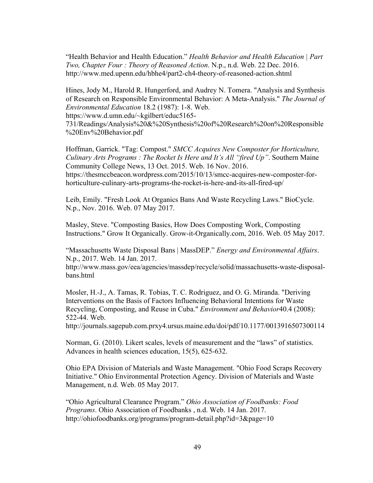"Health Behavior and Health Education." *Health Behavior and Health Education | Part Two, Chapter Four : Theory of Reasoned Action*. N.p., n.d. Web. 22 Dec. 2016. http://www.med.upenn.edu/hbhe4/part2-ch4-theory-of-reasoned-action.shtml

Hines, Jody M., Harold R. Hungerford, and Audrey N. Tomera. "Analysis and Synthesis of Research on Responsible Environmental Behavior: A Meta-Analysis." *The Journal of Environmental Education* 18.2 (1987): 1-8. Web.

https://www.d.umn.edu/~kgilbert/educ5165-

731/Readings/Analysis%20&%20Synthesis%20of%20Research%20on%20Responsible %20Env%20Behavior.pdf

Hoffman, Garrick. "Tag: Compost." *SMCC Acquires New Composter for Horticulture, Culinary Arts Programs : The Rocket Is Here and It's All "fired Up"*. Southern Maine Community College News, 13 Oct. 2015. Web. 16 Nov. 2016. https://thesmccbeacon.wordpress.com/2015/10/13/smcc-acquires-new-composter-forhorticulture-culinary-arts-programs-the-rocket-is-here-and-its-all-fired-up/

Leib, Emily. "Fresh Look At Organics Bans And Waste Recycling Laws." BioCycle. N.p., Nov. 2016. Web. 07 May 2017.

Masley, Steve. "Composting Basics, How Does Composting Work, Composting Instructions." Grow It Organically. Grow-it-Organically.com, 2016. Web. 05 May 2017.

"Massachusetts Waste Disposal Bans | MassDEP." *Energy and Environmental Affairs*. N.p., 2017. Web. 14 Jan. 2017.

http://www.mass.gov/eea/agencies/massdep/recycle/solid/massachusetts-waste-disposalbans.html

Mosler, H.-J., A. Tamas, R. Tobias, T. C. Rodriguez, and O. G. Miranda. "Deriving Interventions on the Basis of Factors Influencing Behavioral Intentions for Waste Recycling, Composting, and Reuse in Cuba." *Environment and Behavior*40.4 (2008): 522-44. Web.

http://journals.sagepub.com.prxy4.ursus.maine.edu/doi/pdf/10.1177/0013916507300114

Norman, G. (2010). Likert scales, levels of measurement and the "laws" of statistics. Advances in health sciences education, 15(5), 625-632.

Ohio EPA Division of Materials and Waste Management. "Ohio Food Scraps Recovery Initiative." Ohio Environmental Protection Agency. Division of Materials and Waste Management, n.d. Web. 05 May 2017.

"Ohio Agricultural Clearance Program." *Ohio Association of Foodbanks: Food Programs*. Ohio Association of Foodbanks , n.d. Web. 14 Jan. 2017. http://ohiofoodbanks.org/programs/program-detail.php?id=3&page=10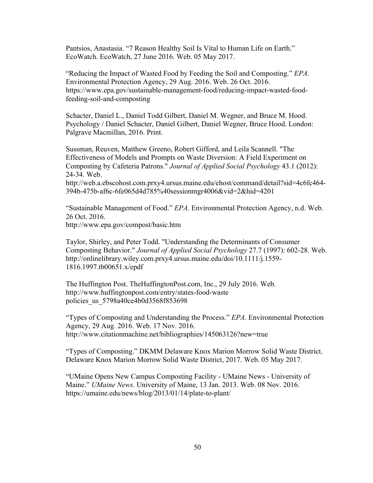Pantsios, Anastasia. "7 Reason Healthy Soil Is Vital to Human Life on Earth." EcoWatch. EcoWatch, 27 June 2016. Web. 05 May 2017.

"Reducing the Impact of Wasted Food by Feeding the Soil and Composting." *EPA*. Environmental Protection Agency, 29 Aug. 2016. Web. 26 Oct. 2016. https://www.epa.gov/sustainable-management-food/reducing-impact-wasted-foodfeeding-soil-and-composting

Schacter, Daniel L., Daniel Todd Gilbert, Daniel M. Wegner, and Bruce M. Hood. Psychology / Daniel Schacter, Daniel Gilbert, Daniel Wegner, Bruce Hood. London: Palgrave Macmillan, 2016. Print.

Sussman, Reuven, Matthew Greeno, Robert Gifford, and Leila Scannell. "The Effectiveness of Models and Prompts on Waste Diversion: A Field Experiment on Composting by Cafeteria Patrons." *Journal of Applied Social Psychology* 43.1 (2012): 24-34. Web.

http://web.a.ebscohost.com.prxy4.ursus.maine.edu/ehost/command/detail?sid=4c6fc464- 394b-475b-af6c-6fe065d4d785%40sessionmgr4006&vid=2&hid=4201

"Sustainable Management of Food." *EPA*. Environmental Protection Agency, n.d. Web. 26 Oct. 2016. http://www.epa.gov/compost/basic.htm

Taylor, Shirley, and Peter Todd. "Understanding the Determinants of Consumer Composting Behavior." *Journal of Applied Social Psychology* 27.7 (1997): 602-28. Web. http://onlinelibrary.wiley.com.prxy4.ursus.maine.edu/doi/10.1111/j.1559- 1816.1997.tb00651.x/epdf

The Huffington Post. TheHuffingtonPost.com, Inc., 29 July 2016. Web. http://www.huffingtonpost.com/entry/states-food-waste policies\_us\_5798a40ce4b0d3568f853698

"Types of Composting and Understanding the Process." *EPA*. Environmental Protection Agency, 29 Aug. 2016. Web. 17 Nov. 2016. http://www.citationmachine.net/bibliographies/145063126?new=true

"Types of Composting." DKMM Delaware Knox Marion Morrow Solid Waste District. Delaware Knox Marion Morrow Solid Waste District, 2017. Web. 05 May 2017.

"UMaine Opens New Campus Composting Facility - UMaine News - University of Maine." *UMaine News*. University of Maine, 13 Jan. 2013. Web. 08 Nov. 2016. https://umaine.edu/news/blog/2013/01/14/plate-to-plant/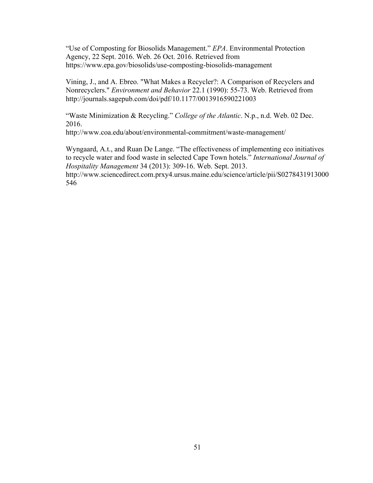"Use of Composting for Biosolids Management." *EPA*. Environmental Protection Agency, 22 Sept. 2016. Web. 26 Oct. 2016. Retrieved from https://www.epa.gov/biosolids/use-composting-biosolids-management

Vining, J., and A. Ebreo. "What Makes a Recycler?: A Comparison of Recyclers and Nonrecyclers." *Environment and Behavior* 22.1 (1990): 55-73. Web. Retrieved from http://journals.sagepub.com/doi/pdf/10.1177/0013916590221003

"Waste Minimization & Recycling." *College of the Atlantic*. N.p., n.d. Web. 02 Dec. 2016.

http://www.coa.edu/about/environmental-commitment/waste-management/

Wyngaard, A.t., and Ruan De Lange. "The effectiveness of implementing eco initiatives to recycle water and food waste in selected Cape Town hotels." *International Journal of Hospitality Management* 34 (2013): 309-16. Web. Sept. 2013.

http://www.sciencedirect.com.prxy4.ursus.maine.edu/science/article/pii/S0278431913000 546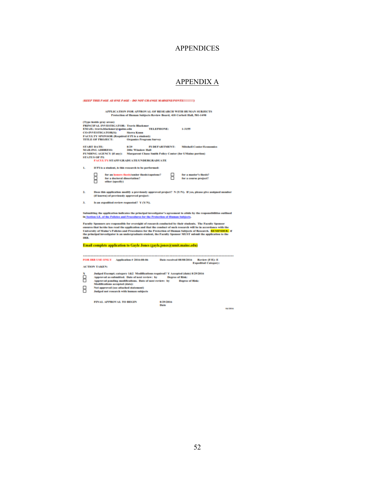### APPENDICES

## APPENDIX A

| (KEEP THIS PAGE AS ONE PAGE - DO NOT CHANGE MARGINS/FONTS!!!!!!!!)                                                                                                                                                                                                                                                                                                                                                                                                         |  |  |  |
|----------------------------------------------------------------------------------------------------------------------------------------------------------------------------------------------------------------------------------------------------------------------------------------------------------------------------------------------------------------------------------------------------------------------------------------------------------------------------|--|--|--|
| APPLICATION FOR APPROVAL OF RESEARCH WITH HUMAN SUBJECTS<br>Protection of Human Subjects Review Board, 418 Corbett Hall, 581-1498                                                                                                                                                                                                                                                                                                                                          |  |  |  |
| (Type inside gray areas)<br><b>FRINCIPAL INVESTIGATOR: Travis Blackmer</b><br><b>TELEPHONE:</b><br>1-3155<br>EMAIL: travis.blackmer@ipaine.edu<br><b>CO-INVESTIGATOR(S):</b><br>Slerra Kuun                                                                                                                                                                                                                                                                                |  |  |  |
| FACULTY SPONSOR (Required if PI is a student):<br><b>TITLE OF PROJECT:</b><br><b>Organics Fregram Survey</b>                                                                                                                                                                                                                                                                                                                                                               |  |  |  |
| <b>START DATE:</b><br><b>FI DEPARTMENT:</b><br>8/79<br><b>Mitchell Center/Economics</b><br><b>MAILING ADDRESS:</b><br>200c Winslow Hall<br><b>FUNDING AGENCY (if any):</b><br>Margarent Chase Smith Policy Center (for UMaine portion)<br><b>STATUS OF PE</b><br>FACULTY/STAFF/GRADUATE/UNDERGRADUATE                                                                                                                                                                      |  |  |  |
| L<br>If PI is a student, is this research to be performed:                                                                                                                                                                                                                                                                                                                                                                                                                 |  |  |  |
| for an honors thesis/senior thesis/capstone?<br>for a master's thesis?<br>for a doctoral dissertation?<br>for a course project?<br>other (specify)                                                                                                                                                                                                                                                                                                                         |  |  |  |
| z.<br>Does this application modify a previously approved project? N (Y/N). If yes, please give assigned number<br>(if known) of previously approved project:                                                                                                                                                                                                                                                                                                               |  |  |  |
| Is an expedited review requested? Y (Y/N).<br>з.                                                                                                                                                                                                                                                                                                                                                                                                                           |  |  |  |
| Submitting the application indicates the principal investigator's agreement to abide by the responsibilities outlined<br>in Section I.E. of the Policies and Procedures for the Protection of Human Subjects.                                                                                                                                                                                                                                                              |  |  |  |
| Faculty Sponsors are responsible for oversight of research conducted by their students. The Faculty Sponsor<br>ensures that he/she has read the application and that the conduct of such research will be in accordance with the<br>University of Maine's Folicies and Frocedures for the Frotection of Human Subjects of Research. REMINDER: if<br>the principal investigator is an undergraduate student, the Faculty Sponsor MUST submit the application to the<br>IKB. |  |  |  |
| Email complete application to Gayle Jones (gayle.jones@umit.maine.edu)                                                                                                                                                                                                                                                                                                                                                                                                     |  |  |  |
| Date received 08/08/2016<br>FOR IRB USE ONLY Application # 2016-08-06<br>Review (F/E): E<br><b>Expedited Category:</b><br><b>ACTION TAKEN:</b>                                                                                                                                                                                                                                                                                                                             |  |  |  |
| Judged Exempt; category 1&2 Modifications required? Y Accepted (date) 8/29/2016<br>Approved as submitted. Date of next review: by<br>Degree of Kisk:<br>Approved pending modifications. Date of next review: by<br>Degree of Risk:<br>Medifications accepted (date):<br>Not approved (see attached statement)<br>Judged not research with human subjects                                                                                                                   |  |  |  |
| FINAL APPROVAL TO BEGIN<br>8/29/2016<br>Date<br>64/2816                                                                                                                                                                                                                                                                                                                                                                                                                    |  |  |  |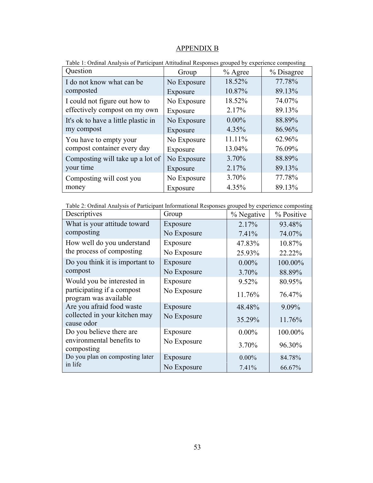### APPENDIX B

| Question                            | Group       | $%$ Agree | % Disagree |
|-------------------------------------|-------------|-----------|------------|
| I do not know what can be           | No Exposure | 18.52%    | 77.78%     |
| composted                           | Exposure    | 10.87%    | 89.13%     |
| I could not figure out how to       | No Exposure | 18.52%    | 74.07%     |
| effectively compost on my own       | Exposure    | 2.17%     | 89.13%     |
| It's ok to have a little plastic in | No Exposure | $0.00\%$  | 88.89%     |
| my compost                          | Exposure    | 4.35%     | 86.96%     |
| You have to empty your              | No Exposure | 11.11%    | 62.96%     |
| compost container every day         | Exposure    | 13.04%    | 76.09%     |
| Composting will take up a lot of    | No Exposure | 3.70%     | 88.89%     |
| your time                           | Exposure    | 2.17%     | 89.13%     |
| Composting will cost you            | No Exposure | 3.70%     | 77.78%     |
| money                               | Exposure    | 4.35%     | 89.13%     |

Table 1: Ordinal Analysis of Participant Attitudinal Responses grouped by experience composting

Table 2: Ordinal Analysis of Participant Informational Responses grouped by experience composting

| Descriptives                                        | Group       | % Negative | % Positive |
|-----------------------------------------------------|-------------|------------|------------|
| What is your attitude toward                        | Exposure    | 2.17%      | 93.48%     |
| composting                                          | No Exposure | 7.41%      | 74.07%     |
| How well do you understand                          | Exposure    | 47.83%     | 10.87%     |
| the process of composting                           | No Exposure | 25.93%     | 22.22%     |
| Do you think it is important to                     | Exposure    | $0.00\%$   | 100.00%    |
| compost                                             | No Exposure | 3.70%      | 88.89%     |
| Would you be interested in                          | Exposure    | 9.52%      | 80.95%     |
| participating if a compost<br>program was available | No Exposure | 11.76%     | 76.47%     |
| Are you afraid food waste                           | Exposure    | 48.48%     | 9.09%      |
| collected in your kitchen may<br>cause odor         | No Exposure | 35.29%     | 11.76%     |
| Do you believe there are                            | Exposure    | $0.00\%$   | 100.00%    |
| environmental benefits to<br>composting             | No Exposure | $3.70\%$   | 96.30%     |
| Do you plan on composting later                     | Exposure    | $0.00\%$   | 84.78%     |
| in life                                             | No Exposure | 7.41%      | 66.67%     |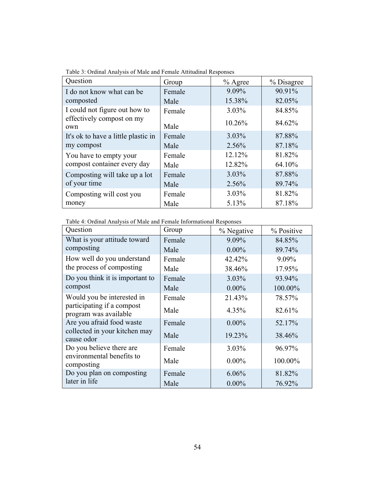| Question                            | Group  | $%$ Agree | % Disagree |
|-------------------------------------|--------|-----------|------------|
| I do not know what can be           | Female | 9.09%     | 90.91%     |
| composted                           | Male   | 15.38%    | 82.05%     |
| I could not figure out how to       | Female | 3.03%     | 84.85%     |
| effectively compost on my<br>own    | Male   | 10.26%    | 84.62%     |
| It's ok to have a little plastic in | Female | 3.03%     | 87.88%     |
| my compost                          | Male   | 2.56%     | 87.18%     |
| You have to empty your              | Female | 12.12%    | 81.82%     |
| compost container every day         | Male   | 12.82%    | 64.10%     |
| Composting will take up a lot       | Female | 3.03%     | 87.88%     |
| of your time                        | Male   | 2.56%     | 89.74%     |
| Composting will cost you            | Female | 3.03%     | 81.82%     |
| money                               | Male   | 5.13%     | 87.18%     |

Table 3: Ordinal Analysis of Male and Female Attitudinal Responses

Table 4: Ordinal Analysis of Male and Female Informational Responses

| Question                                            | Group  | % Negative | % Positive |
|-----------------------------------------------------|--------|------------|------------|
| What is your attitude toward                        | Female | 9.09%      | 84.85%     |
| composting                                          | Male   | $0.00\%$   | 89.74%     |
| How well do you understand                          | Female | 42.42%     | 9.09%      |
| the process of composting                           | Male   | 38.46%     | 17.95%     |
| Do you think it is important to                     | Female | 3.03%      | 93.94%     |
| compost                                             | Male   | $0.00\%$   | 100.00%    |
| Would you be interested in                          | Female | 21.43%     | 78.57%     |
| participating if a compost<br>program was available | Male   | 4.35%      | 82.61%     |
| Are you afraid food waste                           | Female | $0.00\%$   | 52.17%     |
| collected in your kitchen may<br>cause odor         | Male   | 19.23%     | 38.46%     |
| Do you believe there are                            | Female | 3.03%      | 96.97%     |
| environmental benefits to<br>composting             | Male   | $0.00\%$   | 100.00%    |
| Do you plan on composting                           | Female | 6.06%      | 81.82%     |
| later in life                                       | Male   | $0.00\%$   | 76.92%     |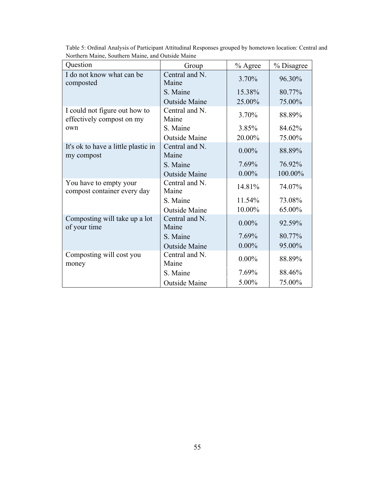| Question                                                   | Group                   | % Agree  | % Disagree |
|------------------------------------------------------------|-------------------------|----------|------------|
| I do not know what can be<br>composted                     | Central and N.<br>Maine | 3.70%    | 96.30%     |
|                                                            | S. Maine                | 15.38%   | 80.77%     |
|                                                            | <b>Outside Maine</b>    | 25.00%   | 75.00%     |
| I could not figure out how to<br>effectively compost on my | Central and N.<br>Maine | 3.70%    | 88.89%     |
| own                                                        | S. Maine                | 3.85%    | 84.62%     |
|                                                            | <b>Outside Maine</b>    | 20.00%   | 75.00%     |
| It's ok to have a little plastic in<br>my compost          | Central and N.<br>Maine | $0.00\%$ | 88.89%     |
|                                                            | S. Maine                | 7.69%    | 76.92%     |
|                                                            | <b>Outside Maine</b>    | $0.00\%$ | 100.00%    |
| You have to empty your<br>compost container every day      | Central and N.<br>Maine | 14.81%   | 74.07%     |
|                                                            | S. Maine                | 11.54%   | 73.08%     |
|                                                            | <b>Outside Maine</b>    | 10.00%   | 65.00%     |
| Composting will take up a lot<br>of your time              | Central and N.<br>Maine | $0.00\%$ | 92.59%     |
|                                                            | S. Maine                | 7.69%    | 80.77%     |
|                                                            | <b>Outside Maine</b>    | $0.00\%$ | 95.00%     |
| Composting will cost you<br>money                          | Central and N.<br>Maine | $0.00\%$ | 88.89%     |
|                                                            | S. Maine                | 7.69%    | 88.46%     |
|                                                            | <b>Outside Maine</b>    | 5.00%    | 75.00%     |

Table 5: Ordinal Analysis of Participant Attitudinal Responses grouped by hometown location: Central and Northern Maine, Southern Maine, and Outside Maine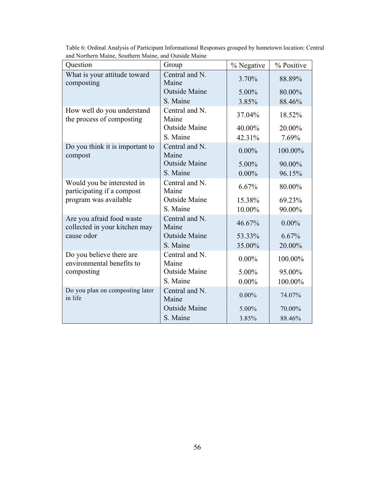| Question                                                   | Group                   | % Negative | % Positive |
|------------------------------------------------------------|-------------------------|------------|------------|
| What is your attitude toward<br>composting                 | Central and N.<br>Maine | 3.70%      | 88.89%     |
|                                                            | <b>Outside Maine</b>    | 5.00%      | 80.00%     |
|                                                            | S. Maine                | 3.85%      | 88.46%     |
| How well do you understand<br>the process of composting    | Central and N.<br>Maine | 37.04%     | 18.52%     |
|                                                            | <b>Outside Maine</b>    | 40.00%     | 20.00%     |
|                                                            | S. Maine                | 42.31%     | 7.69%      |
| Do you think it is important to<br>compost                 | Central and N.<br>Maine | $0.00\%$   | 100.00%    |
|                                                            | <b>Outside Maine</b>    | 5.00%      | 90.00%     |
|                                                            | S. Maine                | $0.00\%$   | 96.15%     |
| Would you be interested in<br>participating if a compost   | Central and N.<br>Maine | 6.67%      | 80.00%     |
| program was available                                      | <b>Outside Maine</b>    | 15.38%     | 69.23%     |
|                                                            | S. Maine                | 10.00%     | 90.00%     |
| Are you afraid food waste<br>collected in your kitchen may | Central and N.<br>Maine | 46.67%     | $0.00\%$   |
| cause odor                                                 | <b>Outside Maine</b>    | 53.33%     | 6.67%      |
|                                                            | S. Maine                | 35.00%     | 20.00%     |
| Do you believe there are<br>environmental benefits to      | Central and N.<br>Maine | $0.00\%$   | 100.00%    |
| composting                                                 | <b>Outside Maine</b>    | 5.00%      | 95.00%     |
|                                                            | S. Maine                | $0.00\%$   | 100.00%    |
| Do you plan on composting later<br>in life                 | Central and N.<br>Maine | $0.00\%$   | 74.07%     |
|                                                            | <b>Outside Maine</b>    | 5.00%      | 70.00%     |
|                                                            | S. Maine                | 3.85%      | 88.46%     |

Table 6: Ordinal Analysis of Participant Informational Responses grouped by hometown location: Central and Northern Maine, Southern Maine, and Outside Maine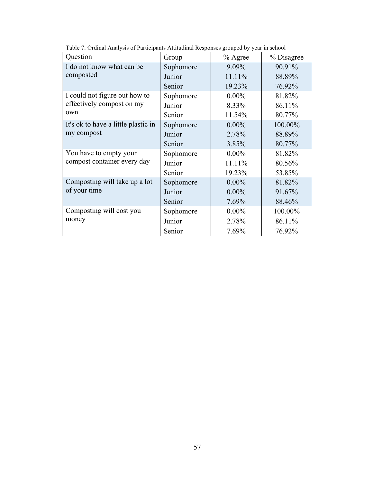| Question                            | Group     | $%$ Agree | % Disagree |
|-------------------------------------|-----------|-----------|------------|
| I do not know what can be           | Sophomore | 9.09%     | 90.91%     |
| composted                           | Junior    | 11.11%    | 88.89%     |
|                                     | Senior    | 19.23%    | 76.92%     |
| I could not figure out how to       | Sophomore | $0.00\%$  | 81.82%     |
| effectively compost on my           | Junior    | 8.33%     | 86.11%     |
| own                                 | Senior    | 11.54%    | 80.77%     |
| It's ok to have a little plastic in | Sophomore | $0.00\%$  | 100.00%    |
| my compost                          | Junior    | 2.78%     | 88.89%     |
|                                     | Senior    | 3.85%     | 80.77%     |
| You have to empty your              | Sophomore | $0.00\%$  | 81.82%     |
| compost container every day         | Junior    | 11.11%    | 80.56%     |
|                                     | Senior    | 19.23%    | 53.85%     |
| Composting will take up a lot       | Sophomore | $0.00\%$  | 81.82%     |
| of your time                        | Junior    | $0.00\%$  | 91.67%     |
|                                     | Senior    | 7.69%     | 88.46%     |
| Composting will cost you            | Sophomore | $0.00\%$  | 100.00%    |
| money                               | Junior    | 2.78%     | 86.11%     |
|                                     | Senior    | 7.69%     | 76.92%     |

Table 7: Ordinal Analysis of Participants Attitudinal Responses grouped by year in school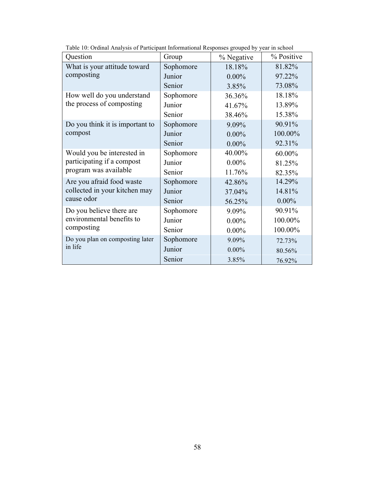| Question                                                                          | Group     | % Negative | % Positive |
|-----------------------------------------------------------------------------------|-----------|------------|------------|
| What is your attitude toward                                                      | Sophomore | 18.18%     | 81.82%     |
| composting                                                                        | Junior    | $0.00\%$   | 97.22%     |
|                                                                                   | Senior    | 3.85%      | 73.08%     |
| How well do you understand                                                        | Sophomore | 36.36%     | 18.18%     |
| the process of composting                                                         | Junior    | 41.67%     | 13.89%     |
|                                                                                   | Senior    | 38.46%     | 15.38%     |
| Do you think it is important to                                                   | Sophomore | 9.09%      | 90.91%     |
| compost                                                                           | Junior    | $0.00\%$   | 100.00%    |
|                                                                                   | Senior    | $0.00\%$   | 92.31%     |
| Would you be interested in<br>participating if a compost<br>program was available | Sophomore | 40.00%     | 60.00%     |
|                                                                                   | Junior    | $0.00\%$   | 81.25%     |
|                                                                                   | Senior    | 11.76%     | 82.35%     |
| Are you afraid food waste                                                         | Sophomore | 42.86%     | 14.29%     |
| collected in your kitchen may                                                     | Junior    | 37.04%     | 14.81%     |
| cause odor                                                                        | Senior    | 56.25%     | $0.00\%$   |
| Do you believe there are                                                          | Sophomore | 9.09%      | 90.91%     |
| environmental benefits to                                                         | Junior    | $0.00\%$   | 100.00%    |
| composting                                                                        | Senior    | $0.00\%$   | 100.00%    |
| Do you plan on composting later                                                   | Sophomore | 9.09%      | 72.73%     |
| in life                                                                           | Junior    | $0.00\%$   | 80.56%     |
|                                                                                   | Senior    | 3.85%      | 76.92%     |

Table 10: Ordinal Analysis of Participant Informational Responses grouped by year in school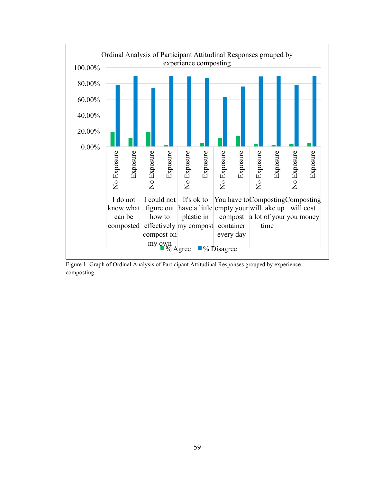

Figure 1: Graph of Ordinal Analysis of Participant Attitudinal Responses grouped by experience composting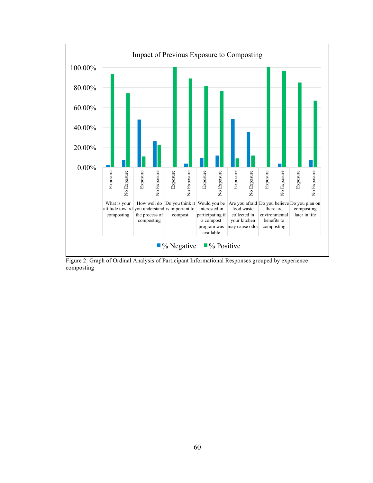

Figure 2: Graph of Ordinal Analysis of Participant Informational Responses grouped by experience composting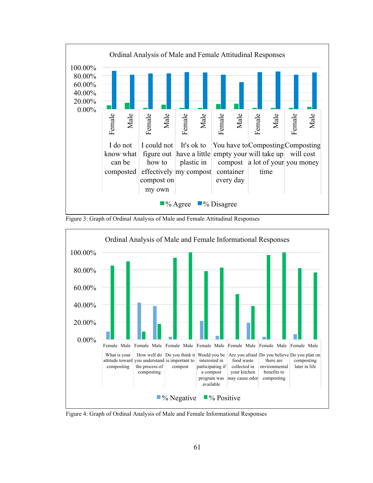





Figure 4: Graph of Ordinal Analysis of Male and Female Informational Responses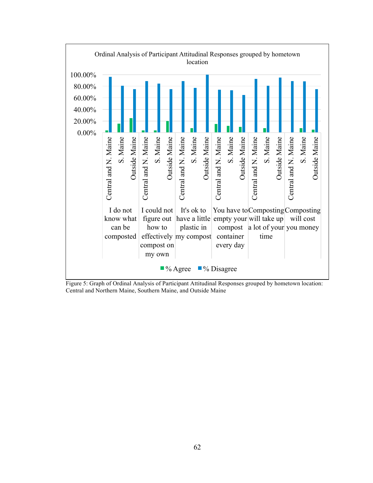

Figure 5: Graph of Ordinal Analysis of Participant Attitudinal Responses grouped by hometown location: Central and Northern Maine, Southern Maine, and Outside Maine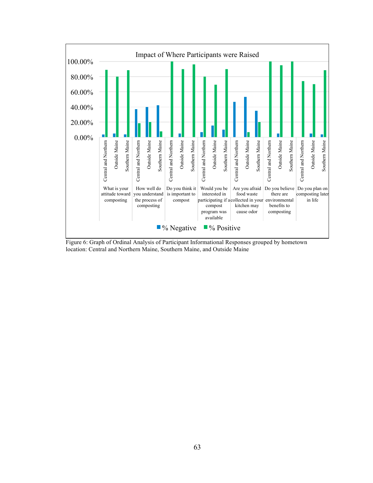

Figure 6: Graph of Ordinal Analysis of Participant Informational Responses grouped by hometown location: Central and Northern Maine, Southern Maine, and Outside Maine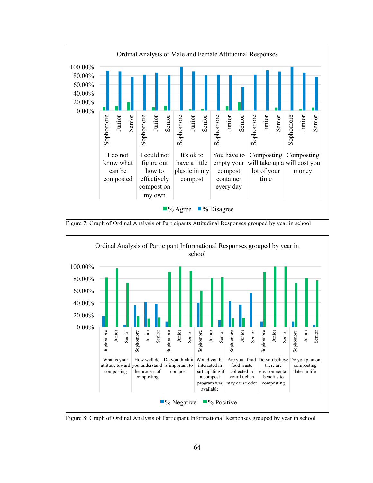





Figure 8: Graph of Ordinal Analysis of Participant Informational Responses grouped by year in school